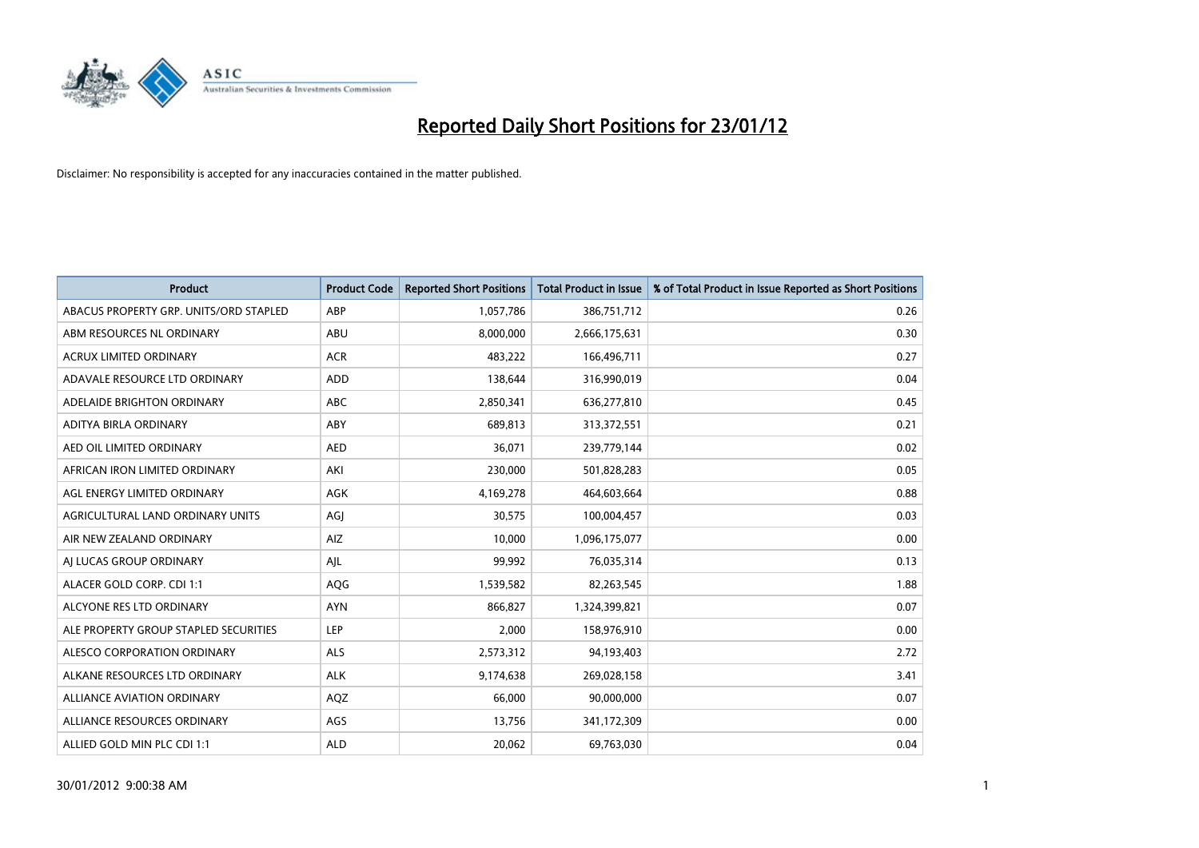

| <b>Product</b>                         | <b>Product Code</b> | <b>Reported Short Positions</b> | <b>Total Product in Issue</b> | % of Total Product in Issue Reported as Short Positions |
|----------------------------------------|---------------------|---------------------------------|-------------------------------|---------------------------------------------------------|
| ABACUS PROPERTY GRP. UNITS/ORD STAPLED | ABP                 | 1,057,786                       | 386,751,712                   | 0.26                                                    |
| ABM RESOURCES NL ORDINARY              | ABU                 | 8,000,000                       | 2,666,175,631                 | 0.30                                                    |
| <b>ACRUX LIMITED ORDINARY</b>          | <b>ACR</b>          | 483,222                         | 166,496,711                   | 0.27                                                    |
| ADAVALE RESOURCE LTD ORDINARY          | <b>ADD</b>          | 138,644                         | 316,990,019                   | 0.04                                                    |
| ADELAIDE BRIGHTON ORDINARY             | <b>ABC</b>          | 2,850,341                       | 636,277,810                   | 0.45                                                    |
| ADITYA BIRLA ORDINARY                  | ABY                 | 689,813                         | 313,372,551                   | 0.21                                                    |
| AED OIL LIMITED ORDINARY               | <b>AED</b>          | 36,071                          | 239,779,144                   | 0.02                                                    |
| AFRICAN IRON LIMITED ORDINARY          | AKI                 | 230,000                         | 501,828,283                   | 0.05                                                    |
| AGL ENERGY LIMITED ORDINARY            | AGK                 | 4,169,278                       | 464,603,664                   | 0.88                                                    |
| AGRICULTURAL LAND ORDINARY UNITS       | AGI                 | 30,575                          | 100,004,457                   | 0.03                                                    |
| AIR NEW ZEALAND ORDINARY               | AIZ                 | 10,000                          | 1,096,175,077                 | 0.00                                                    |
| AI LUCAS GROUP ORDINARY                | AJL                 | 99,992                          | 76,035,314                    | 0.13                                                    |
| ALACER GOLD CORP. CDI 1:1              | AQG                 | 1,539,582                       | 82,263,545                    | 1.88                                                    |
| ALCYONE RES LTD ORDINARY               | <b>AYN</b>          | 866,827                         | 1,324,399,821                 | 0.07                                                    |
| ALE PROPERTY GROUP STAPLED SECURITIES  | <b>LEP</b>          | 2,000                           | 158,976,910                   | 0.00                                                    |
| ALESCO CORPORATION ORDINARY            | ALS                 | 2,573,312                       | 94,193,403                    | 2.72                                                    |
| ALKANE RESOURCES LTD ORDINARY          | <b>ALK</b>          | 9,174,638                       | 269,028,158                   | 3.41                                                    |
| <b>ALLIANCE AVIATION ORDINARY</b>      | AQZ                 | 66,000                          | 90,000,000                    | 0.07                                                    |
| ALLIANCE RESOURCES ORDINARY            | AGS                 | 13,756                          | 341,172,309                   | 0.00                                                    |
| ALLIED GOLD MIN PLC CDI 1:1            | <b>ALD</b>          | 20,062                          | 69,763,030                    | 0.04                                                    |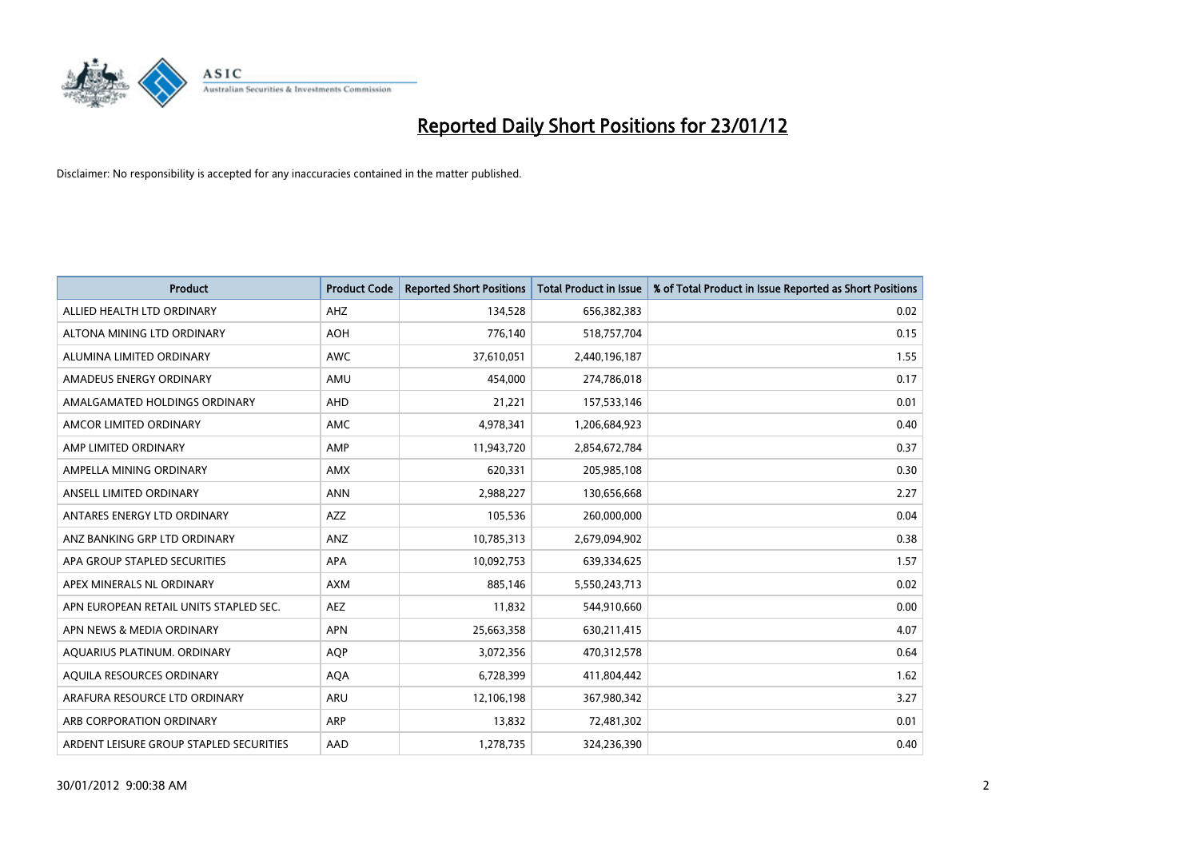

| <b>Product</b>                          | <b>Product Code</b> | <b>Reported Short Positions</b> | Total Product in Issue | % of Total Product in Issue Reported as Short Positions |
|-----------------------------------------|---------------------|---------------------------------|------------------------|---------------------------------------------------------|
| ALLIED HEALTH LTD ORDINARY              | AHZ                 | 134,528                         | 656,382,383            | 0.02                                                    |
| ALTONA MINING LTD ORDINARY              | <b>AOH</b>          | 776,140                         | 518,757,704            | 0.15                                                    |
| ALUMINA LIMITED ORDINARY                | <b>AWC</b>          | 37,610,051                      | 2,440,196,187          | 1.55                                                    |
| AMADEUS ENERGY ORDINARY                 | AMU                 | 454,000                         | 274,786,018            | 0.17                                                    |
| AMALGAMATED HOLDINGS ORDINARY           | AHD                 | 21,221                          | 157,533,146            | 0.01                                                    |
| AMCOR LIMITED ORDINARY                  | AMC                 | 4,978,341                       | 1,206,684,923          | 0.40                                                    |
| AMP LIMITED ORDINARY                    | AMP                 | 11,943,720                      | 2,854,672,784          | 0.37                                                    |
| AMPELLA MINING ORDINARY                 | AMX                 | 620,331                         | 205,985,108            | 0.30                                                    |
| ANSELL LIMITED ORDINARY                 | <b>ANN</b>          | 2,988,227                       | 130,656,668            | 2.27                                                    |
| ANTARES ENERGY LTD ORDINARY             | AZZ                 | 105,536                         | 260,000,000            | 0.04                                                    |
| ANZ BANKING GRP LTD ORDINARY            | ANZ                 | 10,785,313                      | 2,679,094,902          | 0.38                                                    |
| APA GROUP STAPLED SECURITIES            | APA                 | 10,092,753                      | 639,334,625            | 1.57                                                    |
| APEX MINERALS NL ORDINARY               | <b>AXM</b>          | 885,146                         | 5,550,243,713          | 0.02                                                    |
| APN EUROPEAN RETAIL UNITS STAPLED SEC.  | <b>AEZ</b>          | 11,832                          | 544,910,660            | 0.00                                                    |
| APN NEWS & MEDIA ORDINARY               | <b>APN</b>          | 25,663,358                      | 630,211,415            | 4.07                                                    |
| AQUARIUS PLATINUM. ORDINARY             | <b>AQP</b>          | 3,072,356                       | 470,312,578            | 0.64                                                    |
| AQUILA RESOURCES ORDINARY               | <b>AQA</b>          | 6,728,399                       | 411,804,442            | 1.62                                                    |
| ARAFURA RESOURCE LTD ORDINARY           | <b>ARU</b>          | 12,106,198                      | 367,980,342            | 3.27                                                    |
| ARB CORPORATION ORDINARY                | <b>ARP</b>          | 13,832                          | 72,481,302             | 0.01                                                    |
| ARDENT LEISURE GROUP STAPLED SECURITIES | AAD                 | 1,278,735                       | 324,236,390            | 0.40                                                    |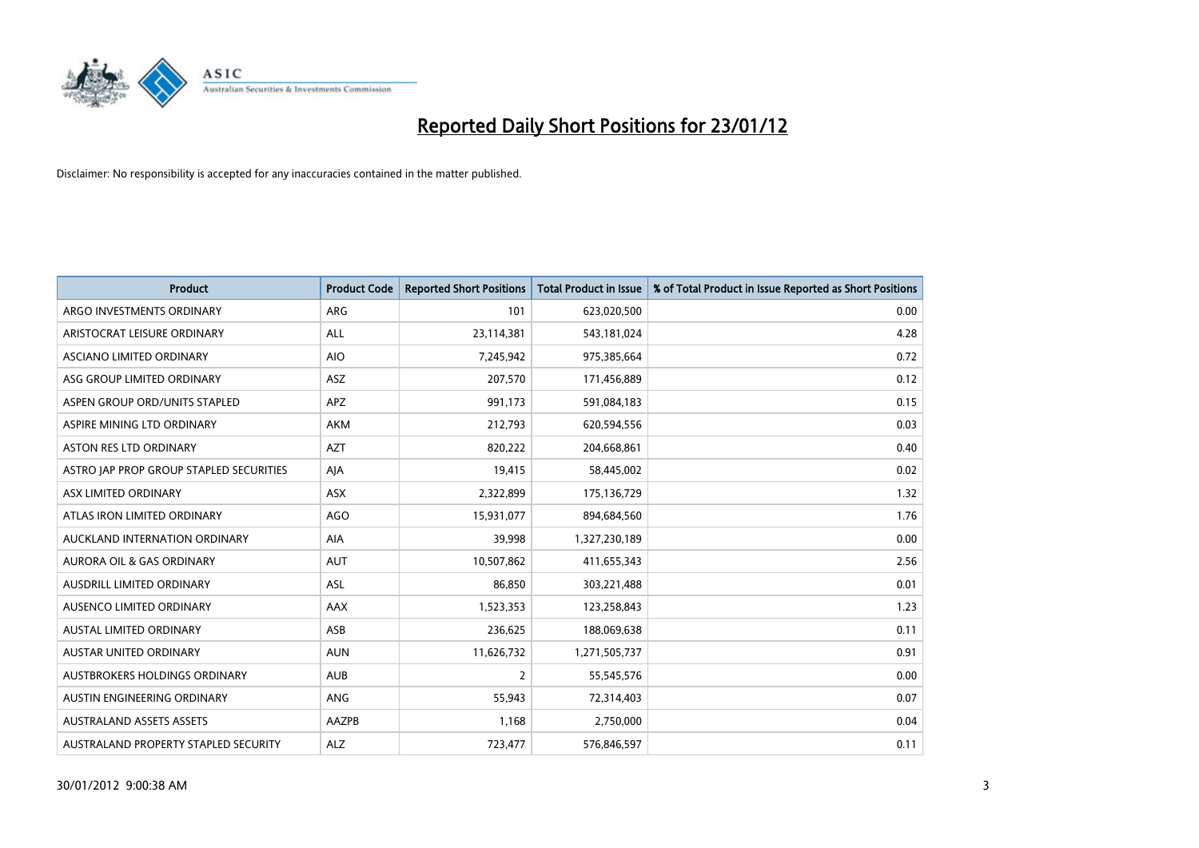

| <b>Product</b>                          | <b>Product Code</b> | <b>Reported Short Positions</b> | <b>Total Product in Issue</b> | % of Total Product in Issue Reported as Short Positions |
|-----------------------------------------|---------------------|---------------------------------|-------------------------------|---------------------------------------------------------|
| ARGO INVESTMENTS ORDINARY               | ARG                 | 101                             | 623,020,500                   | 0.00                                                    |
| ARISTOCRAT LEISURE ORDINARY             | ALL                 | 23,114,381                      | 543,181,024                   | 4.28                                                    |
| ASCIANO LIMITED ORDINARY                | <b>AIO</b>          | 7,245,942                       | 975,385,664                   | 0.72                                                    |
| ASG GROUP LIMITED ORDINARY              | ASZ                 | 207,570                         | 171,456,889                   | 0.12                                                    |
| ASPEN GROUP ORD/UNITS STAPLED           | <b>APZ</b>          | 991,173                         | 591,084,183                   | 0.15                                                    |
| ASPIRE MINING LTD ORDINARY              | <b>AKM</b>          | 212,793                         | 620,594,556                   | 0.03                                                    |
| ASTON RES LTD ORDINARY                  | <b>AZT</b>          | 820,222                         | 204,668,861                   | 0.40                                                    |
| ASTRO JAP PROP GROUP STAPLED SECURITIES | AJA                 | 19,415                          | 58,445,002                    | 0.02                                                    |
| ASX LIMITED ORDINARY                    | ASX                 | 2,322,899                       | 175,136,729                   | 1.32                                                    |
| ATLAS IRON LIMITED ORDINARY             | <b>AGO</b>          | 15,931,077                      | 894,684,560                   | 1.76                                                    |
| AUCKLAND INTERNATION ORDINARY           | AIA                 | 39,998                          | 1,327,230,189                 | 0.00                                                    |
| AURORA OIL & GAS ORDINARY               | <b>AUT</b>          | 10,507,862                      | 411,655,343                   | 2.56                                                    |
| AUSDRILL LIMITED ORDINARY               | ASL                 | 86,850                          | 303,221,488                   | 0.01                                                    |
| AUSENCO LIMITED ORDINARY                | AAX                 | 1,523,353                       | 123,258,843                   | 1.23                                                    |
| <b>AUSTAL LIMITED ORDINARY</b>          | ASB                 | 236,625                         | 188,069,638                   | 0.11                                                    |
| <b>AUSTAR UNITED ORDINARY</b>           | <b>AUN</b>          | 11,626,732                      | 1,271,505,737                 | 0.91                                                    |
| AUSTBROKERS HOLDINGS ORDINARY           | <b>AUB</b>          | $\overline{2}$                  | 55,545,576                    | 0.00                                                    |
| AUSTIN ENGINEERING ORDINARY             | ANG                 | 55,943                          | 72,314,403                    | 0.07                                                    |
| <b>AUSTRALAND ASSETS ASSETS</b>         | AAZPB               | 1,168                           | 2,750,000                     | 0.04                                                    |
| AUSTRALAND PROPERTY STAPLED SECURITY    | <b>ALZ</b>          | 723,477                         | 576,846,597                   | 0.11                                                    |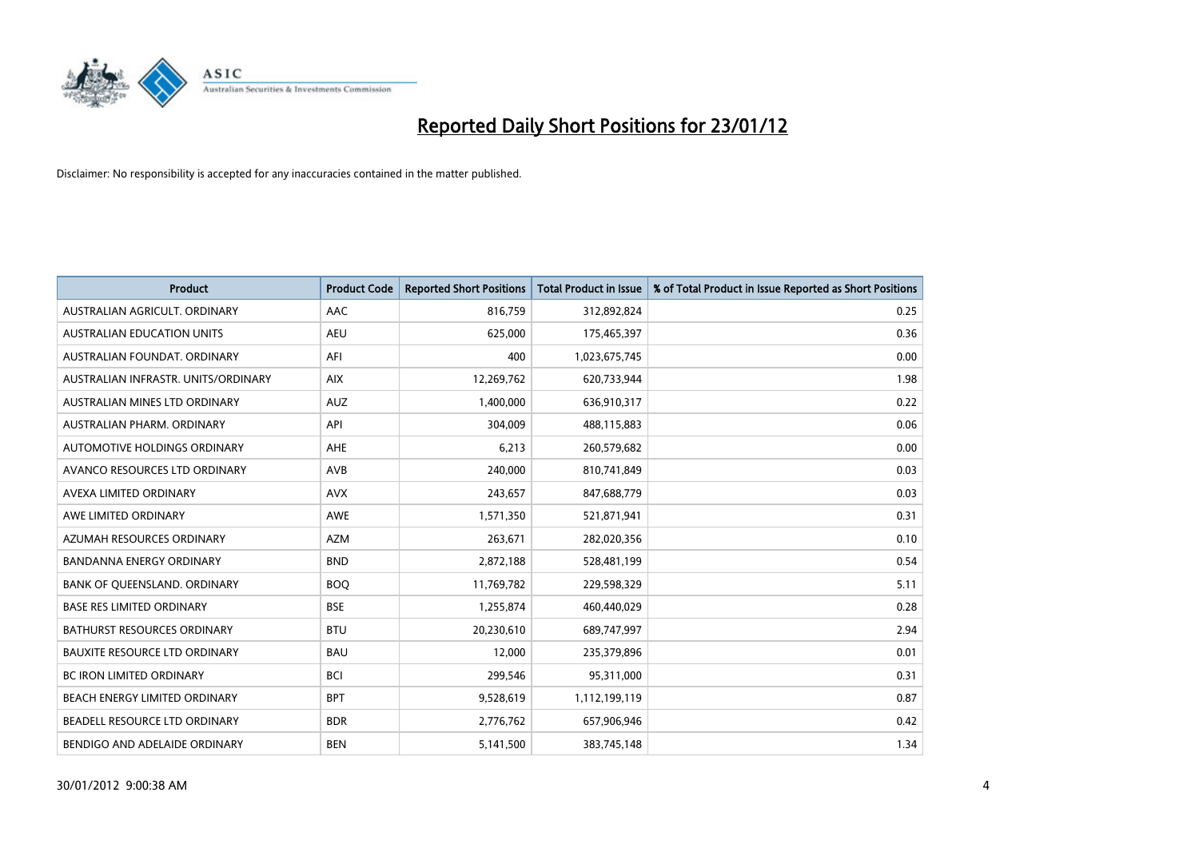

| <b>Product</b>                       | <b>Product Code</b> | <b>Reported Short Positions</b> | <b>Total Product in Issue</b> | % of Total Product in Issue Reported as Short Positions |
|--------------------------------------|---------------------|---------------------------------|-------------------------------|---------------------------------------------------------|
| AUSTRALIAN AGRICULT, ORDINARY        | AAC                 | 816,759                         | 312,892,824                   | 0.25                                                    |
| AUSTRALIAN EDUCATION UNITS           | <b>AEU</b>          | 625,000                         | 175,465,397                   | 0.36                                                    |
| AUSTRALIAN FOUNDAT, ORDINARY         | AFI                 | 400                             | 1,023,675,745                 | 0.00                                                    |
| AUSTRALIAN INFRASTR, UNITS/ORDINARY  | <b>AIX</b>          | 12,269,762                      | 620,733,944                   | 1.98                                                    |
| AUSTRALIAN MINES LTD ORDINARY        | <b>AUZ</b>          | 1,400,000                       | 636,910,317                   | 0.22                                                    |
| AUSTRALIAN PHARM, ORDINARY           | API                 | 304,009                         | 488,115,883                   | 0.06                                                    |
| AUTOMOTIVE HOLDINGS ORDINARY         | AHE                 | 6,213                           | 260,579,682                   | 0.00                                                    |
| AVANCO RESOURCES LTD ORDINARY        | AVB                 | 240,000                         | 810,741,849                   | 0.03                                                    |
| AVEXA LIMITED ORDINARY               | <b>AVX</b>          | 243,657                         | 847,688,779                   | 0.03                                                    |
| AWE LIMITED ORDINARY                 | <b>AWE</b>          | 1,571,350                       | 521,871,941                   | 0.31                                                    |
| AZUMAH RESOURCES ORDINARY            | <b>AZM</b>          | 263,671                         | 282,020,356                   | 0.10                                                    |
| BANDANNA ENERGY ORDINARY             | <b>BND</b>          | 2,872,188                       | 528,481,199                   | 0.54                                                    |
| BANK OF QUEENSLAND. ORDINARY         | <b>BOO</b>          | 11,769,782                      | 229,598,329                   | 5.11                                                    |
| <b>BASE RES LIMITED ORDINARY</b>     | <b>BSE</b>          | 1,255,874                       | 460,440,029                   | 0.28                                                    |
| <b>BATHURST RESOURCES ORDINARY</b>   | <b>BTU</b>          | 20,230,610                      | 689,747,997                   | 2.94                                                    |
| <b>BAUXITE RESOURCE LTD ORDINARY</b> | <b>BAU</b>          | 12,000                          | 235,379,896                   | 0.01                                                    |
| BC IRON LIMITED ORDINARY             | <b>BCI</b>          | 299,546                         | 95,311,000                    | 0.31                                                    |
| BEACH ENERGY LIMITED ORDINARY        | <b>BPT</b>          | 9,528,619                       | 1,112,199,119                 | 0.87                                                    |
| BEADELL RESOURCE LTD ORDINARY        | <b>BDR</b>          | 2,776,762                       | 657,906,946                   | 0.42                                                    |
| BENDIGO AND ADELAIDE ORDINARY        | <b>BEN</b>          | 5,141,500                       | 383,745,148                   | 1.34                                                    |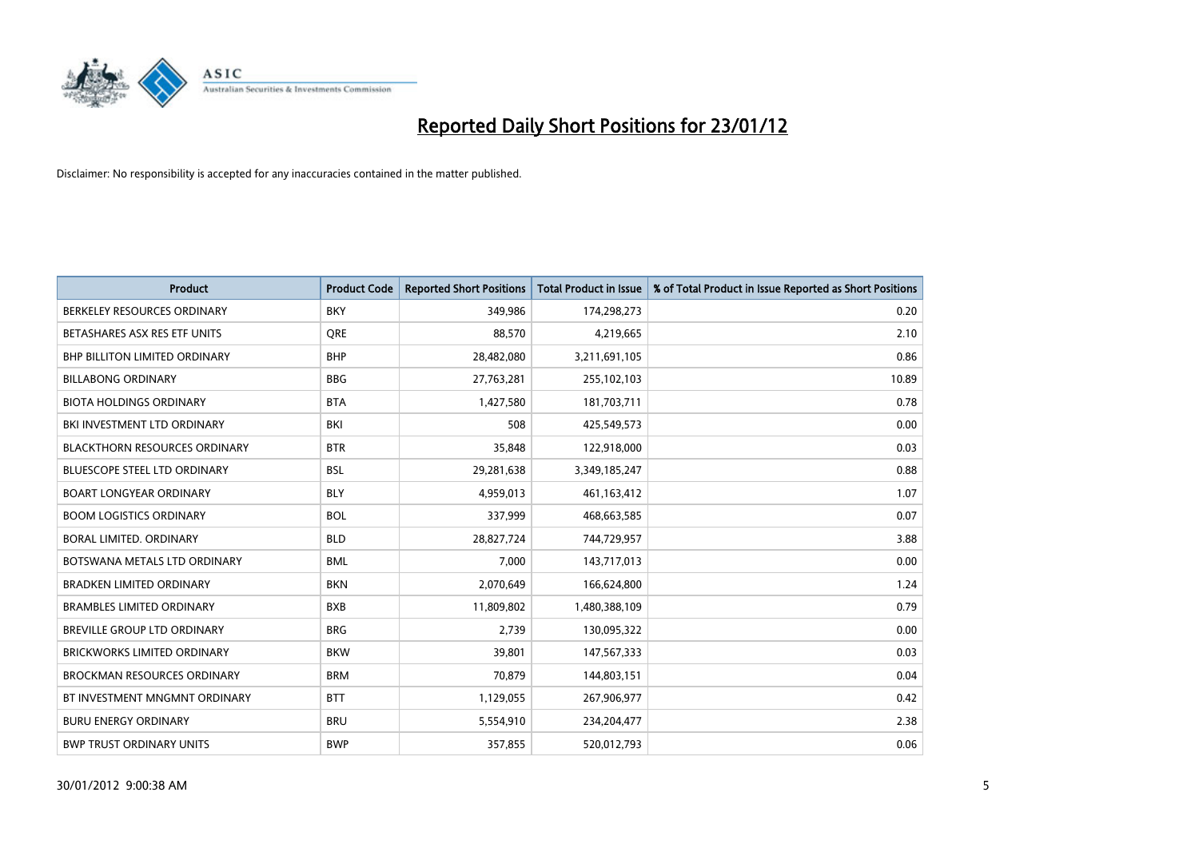

| <b>Product</b>                       | <b>Product Code</b> | <b>Reported Short Positions</b> | <b>Total Product in Issue</b> | % of Total Product in Issue Reported as Short Positions |
|--------------------------------------|---------------------|---------------------------------|-------------------------------|---------------------------------------------------------|
| BERKELEY RESOURCES ORDINARY          | <b>BKY</b>          | 349,986                         | 174,298,273                   | 0.20                                                    |
| BETASHARES ASX RES ETF UNITS         | <b>ORE</b>          | 88,570                          | 4,219,665                     | 2.10                                                    |
| BHP BILLITON LIMITED ORDINARY        | <b>BHP</b>          | 28,482,080                      | 3,211,691,105                 | 0.86                                                    |
| <b>BILLABONG ORDINARY</b>            | <b>BBG</b>          | 27,763,281                      | 255,102,103                   | 10.89                                                   |
| <b>BIOTA HOLDINGS ORDINARY</b>       | <b>BTA</b>          | 1,427,580                       | 181,703,711                   | 0.78                                                    |
| BKI INVESTMENT LTD ORDINARY          | BKI                 | 508                             | 425,549,573                   | 0.00                                                    |
| <b>BLACKTHORN RESOURCES ORDINARY</b> | <b>BTR</b>          | 35,848                          | 122,918,000                   | 0.03                                                    |
| BLUESCOPE STEEL LTD ORDINARY         | <b>BSL</b>          | 29,281,638                      | 3,349,185,247                 | 0.88                                                    |
| <b>BOART LONGYEAR ORDINARY</b>       | <b>BLY</b>          | 4,959,013                       | 461,163,412                   | 1.07                                                    |
| <b>BOOM LOGISTICS ORDINARY</b>       | <b>BOL</b>          | 337,999                         | 468,663,585                   | 0.07                                                    |
| BORAL LIMITED. ORDINARY              | <b>BLD</b>          | 28,827,724                      | 744,729,957                   | 3.88                                                    |
| BOTSWANA METALS LTD ORDINARY         | <b>BML</b>          | 7,000                           | 143,717,013                   | 0.00                                                    |
| <b>BRADKEN LIMITED ORDINARY</b>      | <b>BKN</b>          | 2,070,649                       | 166,624,800                   | 1.24                                                    |
| <b>BRAMBLES LIMITED ORDINARY</b>     | <b>BXB</b>          | 11,809,802                      | 1,480,388,109                 | 0.79                                                    |
| BREVILLE GROUP LTD ORDINARY          | <b>BRG</b>          | 2.739                           | 130,095,322                   | 0.00                                                    |
| BRICKWORKS LIMITED ORDINARY          | <b>BKW</b>          | 39,801                          | 147,567,333                   | 0.03                                                    |
| <b>BROCKMAN RESOURCES ORDINARY</b>   | <b>BRM</b>          | 70,879                          | 144,803,151                   | 0.04                                                    |
| BT INVESTMENT MNGMNT ORDINARY        | <b>BTT</b>          | 1,129,055                       | 267,906,977                   | 0.42                                                    |
| <b>BURU ENERGY ORDINARY</b>          | <b>BRU</b>          | 5,554,910                       | 234,204,477                   | 2.38                                                    |
| <b>BWP TRUST ORDINARY UNITS</b>      | <b>BWP</b>          | 357,855                         | 520,012,793                   | 0.06                                                    |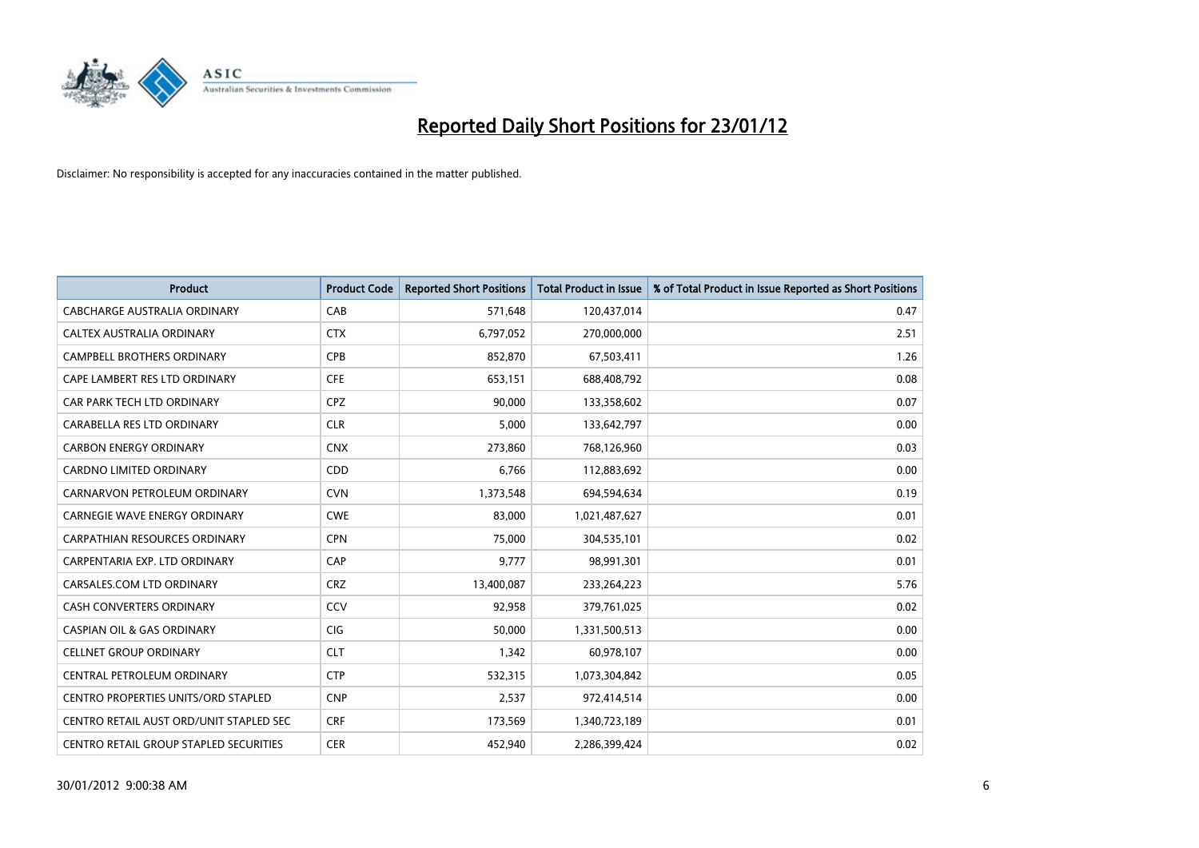

| <b>Product</b>                          | <b>Product Code</b> | <b>Reported Short Positions</b> | <b>Total Product in Issue</b> | % of Total Product in Issue Reported as Short Positions |
|-----------------------------------------|---------------------|---------------------------------|-------------------------------|---------------------------------------------------------|
| <b>CABCHARGE AUSTRALIA ORDINARY</b>     | CAB                 | 571,648                         | 120,437,014                   | 0.47                                                    |
| CALTEX AUSTRALIA ORDINARY               | <b>CTX</b>          | 6,797,052                       | 270,000,000                   | 2.51                                                    |
| <b>CAMPBELL BROTHERS ORDINARY</b>       | <b>CPB</b>          | 852,870                         | 67,503,411                    | 1.26                                                    |
| CAPE LAMBERT RES LTD ORDINARY           | <b>CFE</b>          | 653,151                         | 688,408,792                   | 0.08                                                    |
| CAR PARK TECH LTD ORDINARY              | <b>CPZ</b>          | 90,000                          | 133,358,602                   | 0.07                                                    |
| CARABELLA RES LTD ORDINARY              | <b>CLR</b>          | 5,000                           | 133,642,797                   | 0.00                                                    |
| <b>CARBON ENERGY ORDINARY</b>           | <b>CNX</b>          | 273,860                         | 768,126,960                   | 0.03                                                    |
| CARDNO LIMITED ORDINARY                 | CDD                 | 6,766                           | 112,883,692                   | 0.00                                                    |
| CARNARVON PETROLEUM ORDINARY            | <b>CVN</b>          | 1,373,548                       | 694,594,634                   | 0.19                                                    |
| <b>CARNEGIE WAVE ENERGY ORDINARY</b>    | <b>CWE</b>          | 83,000                          | 1,021,487,627                 | 0.01                                                    |
| CARPATHIAN RESOURCES ORDINARY           | <b>CPN</b>          | 75,000                          | 304,535,101                   | 0.02                                                    |
| CARPENTARIA EXP. LTD ORDINARY           | CAP                 | 9,777                           | 98,991,301                    | 0.01                                                    |
| CARSALES.COM LTD ORDINARY               | <b>CRZ</b>          | 13,400,087                      | 233,264,223                   | 5.76                                                    |
| <b>CASH CONVERTERS ORDINARY</b>         | CCV                 | 92,958                          | 379,761,025                   | 0.02                                                    |
| <b>CASPIAN OIL &amp; GAS ORDINARY</b>   | CIG                 | 50,000                          | 1,331,500,513                 | 0.00                                                    |
| <b>CELLNET GROUP ORDINARY</b>           | <b>CLT</b>          | 1,342                           | 60,978,107                    | 0.00                                                    |
| CENTRAL PETROLEUM ORDINARY              | <b>CTP</b>          | 532,315                         | 1,073,304,842                 | 0.05                                                    |
| CENTRO PROPERTIES UNITS/ORD STAPLED     | <b>CNP</b>          | 2,537                           | 972,414,514                   | 0.00                                                    |
| CENTRO RETAIL AUST ORD/UNIT STAPLED SEC | <b>CRF</b>          | 173,569                         | 1,340,723,189                 | 0.01                                                    |
| CENTRO RETAIL GROUP STAPLED SECURITIES  | <b>CER</b>          | 452,940                         | 2,286,399,424                 | 0.02                                                    |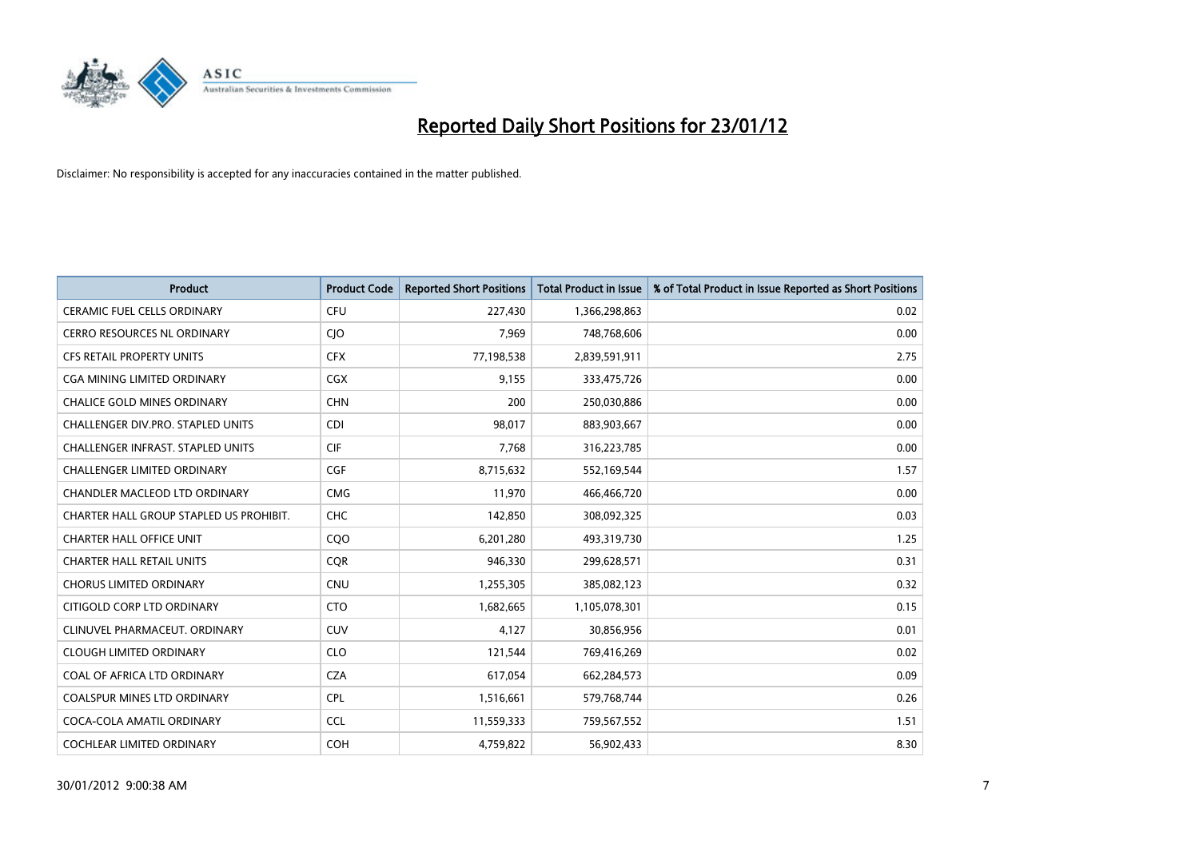

| <b>Product</b>                           | <b>Product Code</b> | <b>Reported Short Positions</b> | <b>Total Product in Issue</b> | % of Total Product in Issue Reported as Short Positions |
|------------------------------------------|---------------------|---------------------------------|-------------------------------|---------------------------------------------------------|
| <b>CERAMIC FUEL CELLS ORDINARY</b>       | <b>CFU</b>          | 227,430                         | 1,366,298,863                 | 0.02                                                    |
| <b>CERRO RESOURCES NL ORDINARY</b>       | $C$ ]O              | 7,969                           | 748,768,606                   | 0.00                                                    |
| <b>CFS RETAIL PROPERTY UNITS</b>         | <b>CFX</b>          | 77,198,538                      | 2,839,591,911                 | 2.75                                                    |
| CGA MINING LIMITED ORDINARY              | CGX                 | 9,155                           | 333,475,726                   | 0.00                                                    |
| <b>CHALICE GOLD MINES ORDINARY</b>       | <b>CHN</b>          | 200                             | 250,030,886                   | 0.00                                                    |
| CHALLENGER DIV.PRO. STAPLED UNITS        | <b>CDI</b>          | 98,017                          | 883,903,667                   | 0.00                                                    |
| <b>CHALLENGER INFRAST, STAPLED UNITS</b> | <b>CIF</b>          | 7,768                           | 316,223,785                   | 0.00                                                    |
| <b>CHALLENGER LIMITED ORDINARY</b>       | <b>CGF</b>          | 8,715,632                       | 552,169,544                   | 1.57                                                    |
| CHANDLER MACLEOD LTD ORDINARY            | <b>CMG</b>          | 11,970                          | 466,466,720                   | 0.00                                                    |
| CHARTER HALL GROUP STAPLED US PROHIBIT.  | <b>CHC</b>          | 142,850                         | 308,092,325                   | 0.03                                                    |
| <b>CHARTER HALL OFFICE UNIT</b>          | CQO                 | 6,201,280                       | 493,319,730                   | 1.25                                                    |
| <b>CHARTER HALL RETAIL UNITS</b>         | <b>COR</b>          | 946,330                         | 299,628,571                   | 0.31                                                    |
| <b>CHORUS LIMITED ORDINARY</b>           | <b>CNU</b>          | 1,255,305                       | 385,082,123                   | 0.32                                                    |
| CITIGOLD CORP LTD ORDINARY               | <b>CTO</b>          | 1,682,665                       | 1,105,078,301                 | 0.15                                                    |
| CLINUVEL PHARMACEUT, ORDINARY            | CUV                 | 4,127                           | 30,856,956                    | 0.01                                                    |
| <b>CLOUGH LIMITED ORDINARY</b>           | <b>CLO</b>          | 121,544                         | 769,416,269                   | 0.02                                                    |
| COAL OF AFRICA LTD ORDINARY              | <b>CZA</b>          | 617,054                         | 662,284,573                   | 0.09                                                    |
| COALSPUR MINES LTD ORDINARY              | <b>CPL</b>          | 1,516,661                       | 579,768,744                   | 0.26                                                    |
| COCA-COLA AMATIL ORDINARY                | <b>CCL</b>          | 11,559,333                      | 759,567,552                   | 1.51                                                    |
| COCHLEAR LIMITED ORDINARY                | <b>COH</b>          | 4,759,822                       | 56,902,433                    | 8.30                                                    |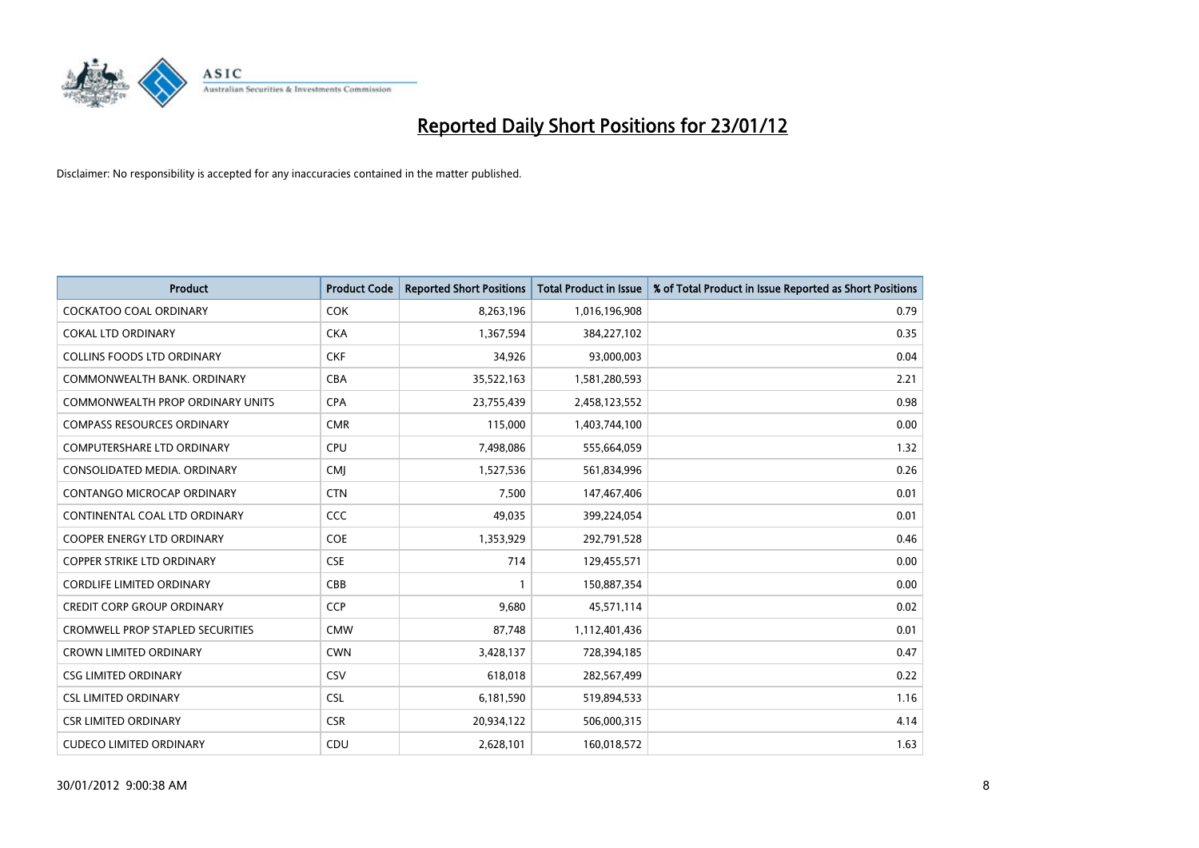

| <b>Product</b>                          | <b>Product Code</b> | <b>Reported Short Positions</b> | <b>Total Product in Issue</b> | % of Total Product in Issue Reported as Short Positions |
|-----------------------------------------|---------------------|---------------------------------|-------------------------------|---------------------------------------------------------|
| <b>COCKATOO COAL ORDINARY</b>           | <b>COK</b>          | 8,263,196                       | 1,016,196,908                 | 0.79                                                    |
| <b>COKAL LTD ORDINARY</b>               | <b>CKA</b>          | 1,367,594                       | 384,227,102                   | 0.35                                                    |
| <b>COLLINS FOODS LTD ORDINARY</b>       | <b>CKF</b>          | 34,926                          | 93,000,003                    | 0.04                                                    |
| COMMONWEALTH BANK, ORDINARY             | <b>CBA</b>          | 35,522,163                      | 1,581,280,593                 | 2.21                                                    |
| <b>COMMONWEALTH PROP ORDINARY UNITS</b> | <b>CPA</b>          | 23,755,439                      | 2,458,123,552                 | 0.98                                                    |
| <b>COMPASS RESOURCES ORDINARY</b>       | <b>CMR</b>          | 115,000                         | 1,403,744,100                 | 0.00                                                    |
| <b>COMPUTERSHARE LTD ORDINARY</b>       | <b>CPU</b>          | 7,498,086                       | 555,664,059                   | 1.32                                                    |
| CONSOLIDATED MEDIA, ORDINARY            | <b>CMI</b>          | 1,527,536                       | 561,834,996                   | 0.26                                                    |
| CONTANGO MICROCAP ORDINARY              | <b>CTN</b>          | 7,500                           | 147,467,406                   | 0.01                                                    |
| CONTINENTAL COAL LTD ORDINARY           | CCC                 | 49,035                          | 399,224,054                   | 0.01                                                    |
| <b>COOPER ENERGY LTD ORDINARY</b>       | <b>COE</b>          | 1,353,929                       | 292,791,528                   | 0.46                                                    |
| <b>COPPER STRIKE LTD ORDINARY</b>       | <b>CSE</b>          | 714                             | 129,455,571                   | 0.00                                                    |
| <b>CORDLIFE LIMITED ORDINARY</b>        | CBB                 | $\mathbf{1}$                    | 150,887,354                   | 0.00                                                    |
| <b>CREDIT CORP GROUP ORDINARY</b>       | <b>CCP</b>          | 9,680                           | 45,571,114                    | 0.02                                                    |
| <b>CROMWELL PROP STAPLED SECURITIES</b> | <b>CMW</b>          | 87,748                          | 1,112,401,436                 | 0.01                                                    |
| <b>CROWN LIMITED ORDINARY</b>           | <b>CWN</b>          | 3,428,137                       | 728,394,185                   | 0.47                                                    |
| <b>CSG LIMITED ORDINARY</b>             | CSV                 | 618,018                         | 282,567,499                   | 0.22                                                    |
| <b>CSL LIMITED ORDINARY</b>             | <b>CSL</b>          | 6,181,590                       | 519,894,533                   | 1.16                                                    |
| <b>CSR LIMITED ORDINARY</b>             | <b>CSR</b>          | 20,934,122                      | 506,000,315                   | 4.14                                                    |
| <b>CUDECO LIMITED ORDINARY</b>          | CDU                 | 2,628,101                       | 160,018,572                   | 1.63                                                    |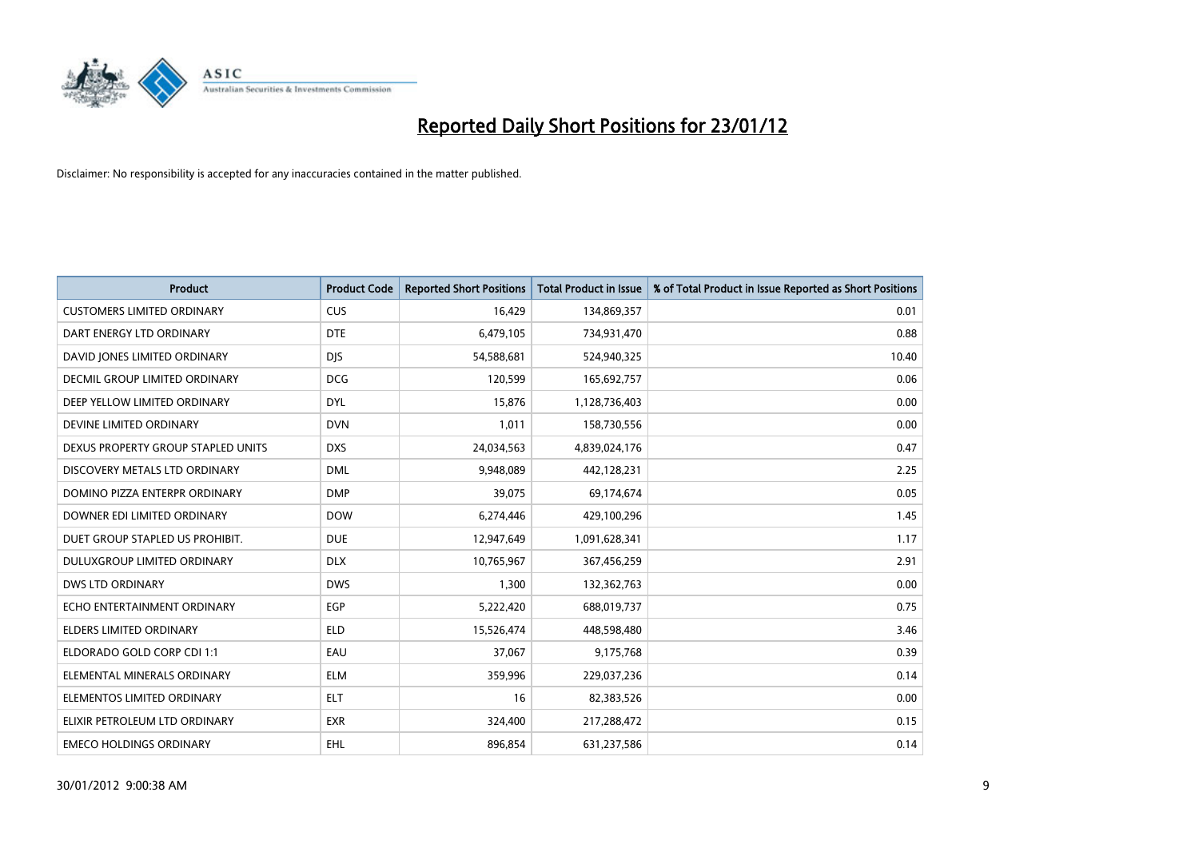

| <b>Product</b>                     | <b>Product Code</b> | <b>Reported Short Positions</b> | <b>Total Product in Issue</b> | % of Total Product in Issue Reported as Short Positions |
|------------------------------------|---------------------|---------------------------------|-------------------------------|---------------------------------------------------------|
| <b>CUSTOMERS LIMITED ORDINARY</b>  | <b>CUS</b>          | 16,429                          | 134,869,357                   | 0.01                                                    |
| DART ENERGY LTD ORDINARY           | <b>DTE</b>          | 6,479,105                       | 734,931,470                   | 0.88                                                    |
| DAVID JONES LIMITED ORDINARY       | <b>DJS</b>          | 54,588,681                      | 524,940,325                   | 10.40                                                   |
| DECMIL GROUP LIMITED ORDINARY      | <b>DCG</b>          | 120,599                         | 165,692,757                   | 0.06                                                    |
| DEEP YELLOW LIMITED ORDINARY       | <b>DYL</b>          | 15,876                          | 1,128,736,403                 | 0.00                                                    |
| DEVINE LIMITED ORDINARY            | <b>DVN</b>          | 1,011                           | 158,730,556                   | 0.00                                                    |
| DEXUS PROPERTY GROUP STAPLED UNITS | <b>DXS</b>          | 24,034,563                      | 4,839,024,176                 | 0.47                                                    |
| DISCOVERY METALS LTD ORDINARY      | <b>DML</b>          | 9,948,089                       | 442,128,231                   | 2.25                                                    |
| DOMINO PIZZA ENTERPR ORDINARY      | <b>DMP</b>          | 39,075                          | 69,174,674                    | 0.05                                                    |
| DOWNER EDI LIMITED ORDINARY        | <b>DOW</b>          | 6,274,446                       | 429,100,296                   | 1.45                                                    |
| DUET GROUP STAPLED US PROHIBIT.    | <b>DUE</b>          | 12,947,649                      | 1,091,628,341                 | 1.17                                                    |
| <b>DULUXGROUP LIMITED ORDINARY</b> | <b>DLX</b>          | 10,765,967                      | 367,456,259                   | 2.91                                                    |
| <b>DWS LTD ORDINARY</b>            | <b>DWS</b>          | 1,300                           | 132,362,763                   | 0.00                                                    |
| ECHO ENTERTAINMENT ORDINARY        | <b>EGP</b>          | 5,222,420                       | 688,019,737                   | 0.75                                                    |
| <b>ELDERS LIMITED ORDINARY</b>     | <b>ELD</b>          | 15,526,474                      | 448,598,480                   | 3.46                                                    |
| ELDORADO GOLD CORP CDI 1:1         | EAU                 | 37,067                          | 9,175,768                     | 0.39                                                    |
| ELEMENTAL MINERALS ORDINARY        | ELM                 | 359,996                         | 229,037,236                   | 0.14                                                    |
| ELEMENTOS LIMITED ORDINARY         | <b>ELT</b>          | 16                              | 82,383,526                    | 0.00                                                    |
| ELIXIR PETROLEUM LTD ORDINARY      | <b>EXR</b>          | 324,400                         | 217,288,472                   | 0.15                                                    |
| <b>EMECO HOLDINGS ORDINARY</b>     | <b>EHL</b>          | 896,854                         | 631,237,586                   | 0.14                                                    |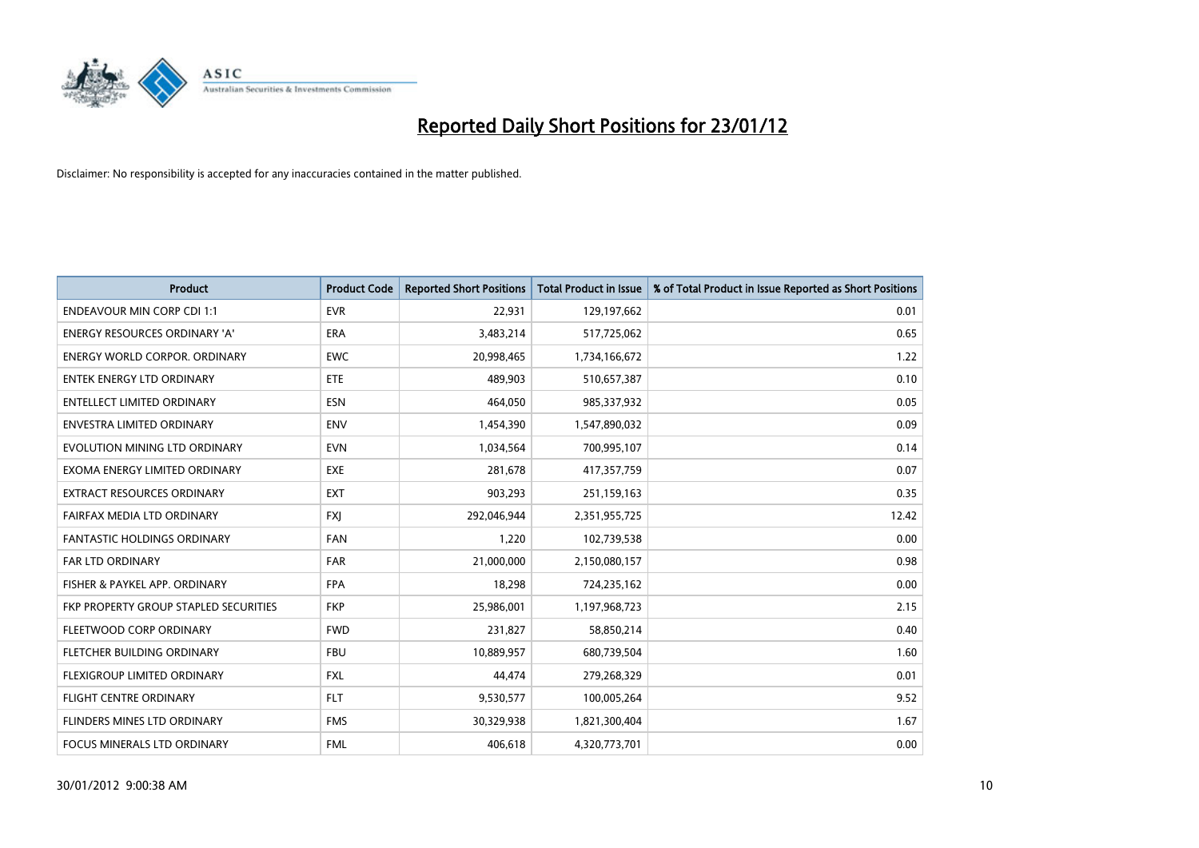

| <b>Product</b>                        | <b>Product Code</b> | <b>Reported Short Positions</b> | <b>Total Product in Issue</b> | % of Total Product in Issue Reported as Short Positions |
|---------------------------------------|---------------------|---------------------------------|-------------------------------|---------------------------------------------------------|
| <b>ENDEAVOUR MIN CORP CDI 1:1</b>     | <b>EVR</b>          | 22,931                          | 129,197,662                   | 0.01                                                    |
| ENERGY RESOURCES ORDINARY 'A'         | ERA                 | 3,483,214                       | 517,725,062                   | 0.65                                                    |
| <b>ENERGY WORLD CORPOR, ORDINARY</b>  | <b>EWC</b>          | 20,998,465                      | 1,734,166,672                 | 1.22                                                    |
| <b>ENTEK ENERGY LTD ORDINARY</b>      | ETE                 | 489,903                         | 510,657,387                   | 0.10                                                    |
| <b>ENTELLECT LIMITED ORDINARY</b>     | <b>ESN</b>          | 464,050                         | 985,337,932                   | 0.05                                                    |
| <b>ENVESTRA LIMITED ORDINARY</b>      | <b>ENV</b>          | 1,454,390                       | 1,547,890,032                 | 0.09                                                    |
| EVOLUTION MINING LTD ORDINARY         | <b>EVN</b>          | 1,034,564                       | 700,995,107                   | 0.14                                                    |
| EXOMA ENERGY LIMITED ORDINARY         | <b>EXE</b>          | 281,678                         | 417,357,759                   | 0.07                                                    |
| <b>EXTRACT RESOURCES ORDINARY</b>     | <b>EXT</b>          | 903,293                         | 251,159,163                   | 0.35                                                    |
| FAIRFAX MEDIA LTD ORDINARY            | <b>FXI</b>          | 292,046,944                     | 2,351,955,725                 | 12.42                                                   |
| FANTASTIC HOLDINGS ORDINARY           | <b>FAN</b>          | 1,220                           | 102,739,538                   | 0.00                                                    |
| <b>FAR LTD ORDINARY</b>               | <b>FAR</b>          | 21,000,000                      | 2,150,080,157                 | 0.98                                                    |
| FISHER & PAYKEL APP. ORDINARY         | <b>FPA</b>          | 18,298                          | 724,235,162                   | 0.00                                                    |
| FKP PROPERTY GROUP STAPLED SECURITIES | <b>FKP</b>          | 25,986,001                      | 1,197,968,723                 | 2.15                                                    |
| FLEETWOOD CORP ORDINARY               | <b>FWD</b>          | 231,827                         | 58,850,214                    | 0.40                                                    |
| FLETCHER BUILDING ORDINARY            | <b>FBU</b>          | 10,889,957                      | 680,739,504                   | 1.60                                                    |
| FLEXIGROUP LIMITED ORDINARY           | FXL                 | 44,474                          | 279,268,329                   | 0.01                                                    |
| <b>FLIGHT CENTRE ORDINARY</b>         | <b>FLT</b>          | 9,530,577                       | 100,005,264                   | 9.52                                                    |
| FLINDERS MINES LTD ORDINARY           | <b>FMS</b>          | 30,329,938                      | 1,821,300,404                 | 1.67                                                    |
| FOCUS MINERALS LTD ORDINARY           | <b>FML</b>          | 406,618                         | 4,320,773,701                 | 0.00                                                    |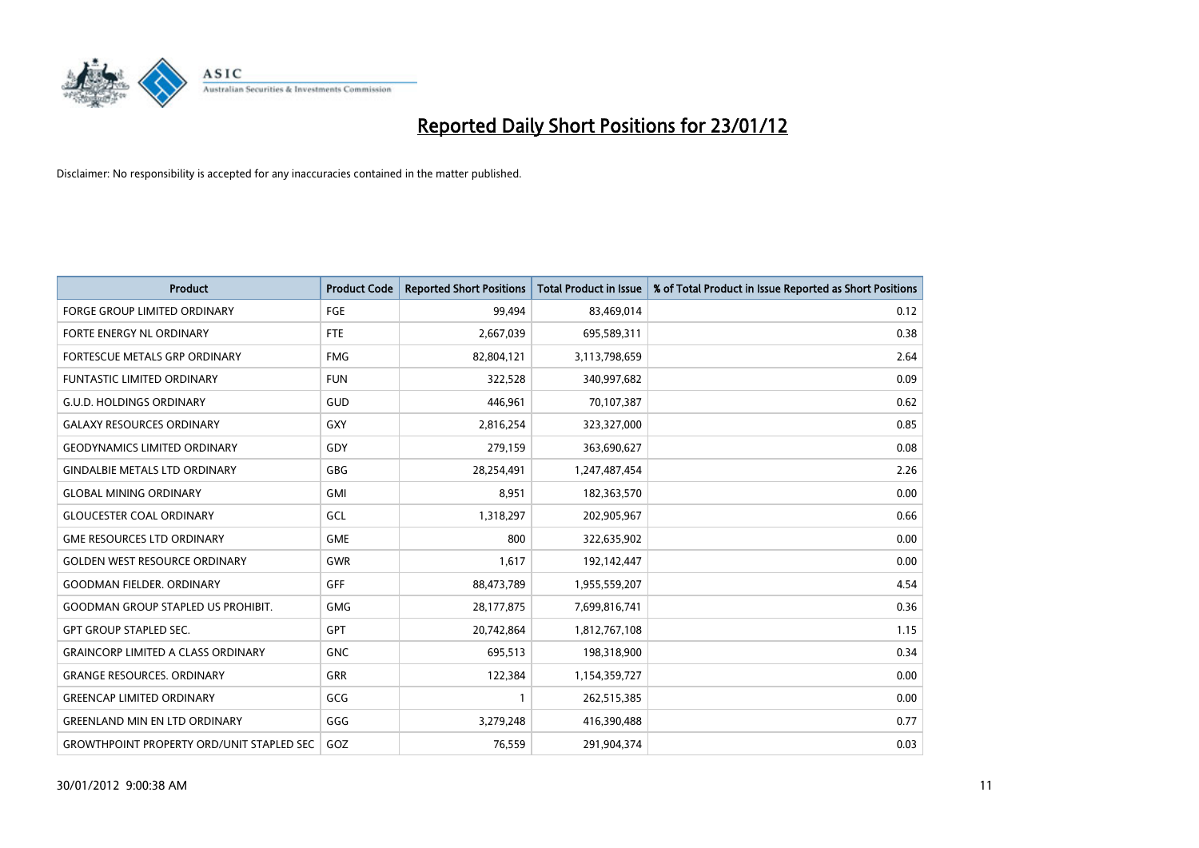

| <b>Product</b>                                   | <b>Product Code</b> | <b>Reported Short Positions</b> | <b>Total Product in Issue</b> | % of Total Product in Issue Reported as Short Positions |
|--------------------------------------------------|---------------------|---------------------------------|-------------------------------|---------------------------------------------------------|
| <b>FORGE GROUP LIMITED ORDINARY</b>              | FGE                 | 99.494                          | 83,469,014                    | 0.12                                                    |
| <b>FORTE ENERGY NL ORDINARY</b>                  | <b>FTE</b>          | 2,667,039                       | 695,589,311                   | 0.38                                                    |
| <b>FORTESCUE METALS GRP ORDINARY</b>             | <b>FMG</b>          | 82,804,121                      | 3,113,798,659                 | 2.64                                                    |
| FUNTASTIC LIMITED ORDINARY                       | <b>FUN</b>          | 322,528                         | 340,997,682                   | 0.09                                                    |
| <b>G.U.D. HOLDINGS ORDINARY</b>                  | GUD                 | 446,961                         | 70,107,387                    | 0.62                                                    |
| <b>GALAXY RESOURCES ORDINARY</b>                 | <b>GXY</b>          | 2,816,254                       | 323,327,000                   | 0.85                                                    |
| <b>GEODYNAMICS LIMITED ORDINARY</b>              | GDY                 | 279,159                         | 363,690,627                   | 0.08                                                    |
| <b>GINDALBIE METALS LTD ORDINARY</b>             | <b>GBG</b>          | 28,254,491                      | 1,247,487,454                 | 2.26                                                    |
| <b>GLOBAL MINING ORDINARY</b>                    | <b>GMI</b>          | 8,951                           | 182,363,570                   | 0.00                                                    |
| <b>GLOUCESTER COAL ORDINARY</b>                  | GCL                 | 1,318,297                       | 202,905,967                   | 0.66                                                    |
| <b>GME RESOURCES LTD ORDINARY</b>                | <b>GME</b>          | 800                             | 322,635,902                   | 0.00                                                    |
| <b>GOLDEN WEST RESOURCE ORDINARY</b>             | <b>GWR</b>          | 1,617                           | 192,142,447                   | 0.00                                                    |
| <b>GOODMAN FIELDER, ORDINARY</b>                 | <b>GFF</b>          | 88,473,789                      | 1,955,559,207                 | 4.54                                                    |
| <b>GOODMAN GROUP STAPLED US PROHIBIT.</b>        | <b>GMG</b>          | 28,177,875                      | 7,699,816,741                 | 0.36                                                    |
| <b>GPT GROUP STAPLED SEC.</b>                    | GPT                 | 20,742,864                      | 1,812,767,108                 | 1.15                                                    |
| <b>GRAINCORP LIMITED A CLASS ORDINARY</b>        | <b>GNC</b>          | 695,513                         | 198,318,900                   | 0.34                                                    |
| <b>GRANGE RESOURCES. ORDINARY</b>                | GRR                 | 122,384                         | 1,154,359,727                 | 0.00                                                    |
| <b>GREENCAP LIMITED ORDINARY</b>                 | GCG                 | 1                               | 262,515,385                   | 0.00                                                    |
| <b>GREENLAND MIN EN LTD ORDINARY</b>             | GGG                 | 3,279,248                       | 416,390,488                   | 0.77                                                    |
| <b>GROWTHPOINT PROPERTY ORD/UNIT STAPLED SEC</b> | GOZ                 | 76,559                          | 291,904,374                   | 0.03                                                    |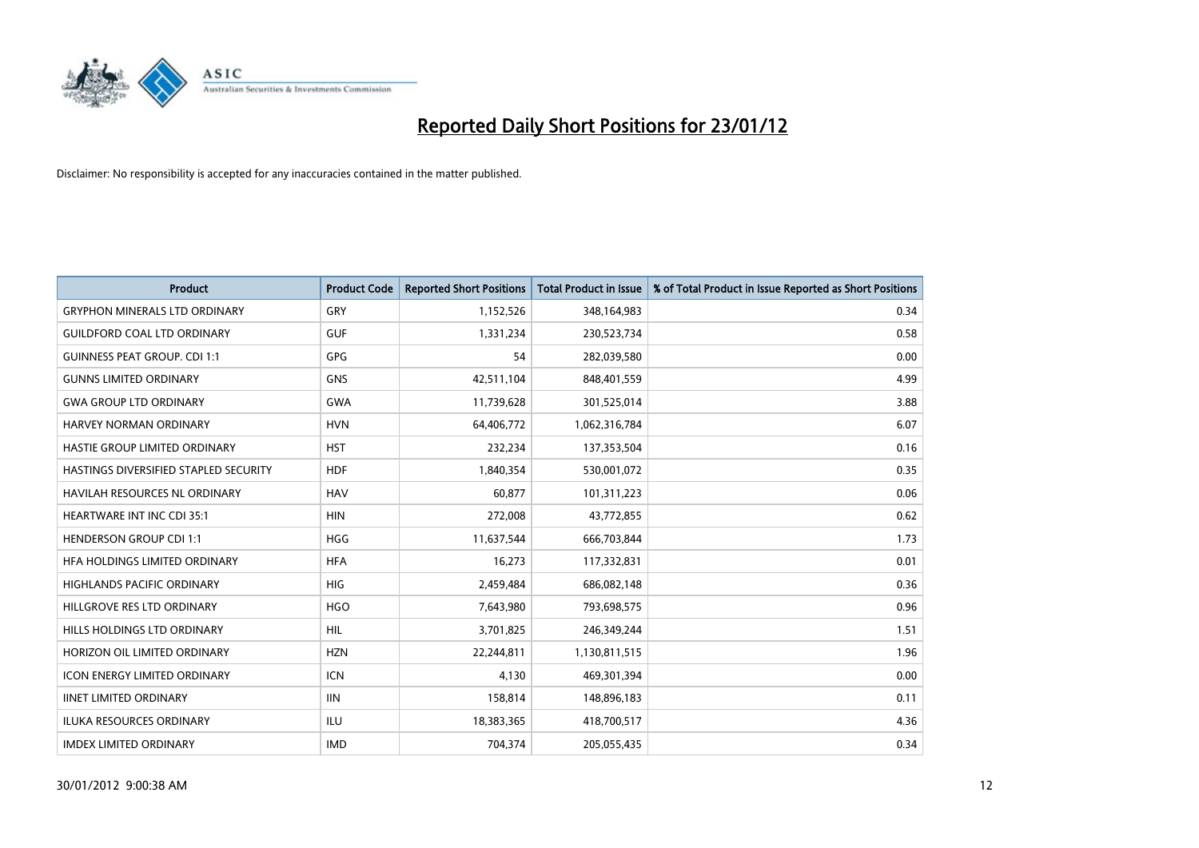

| <b>Product</b>                        | <b>Product Code</b> | <b>Reported Short Positions</b> | <b>Total Product in Issue</b> | % of Total Product in Issue Reported as Short Positions |
|---------------------------------------|---------------------|---------------------------------|-------------------------------|---------------------------------------------------------|
| <b>GRYPHON MINERALS LTD ORDINARY</b>  | GRY                 | 1,152,526                       | 348,164,983                   | 0.34                                                    |
| <b>GUILDFORD COAL LTD ORDINARY</b>    | <b>GUF</b>          | 1,331,234                       | 230,523,734                   | 0.58                                                    |
| <b>GUINNESS PEAT GROUP. CDI 1:1</b>   | <b>GPG</b>          | 54                              | 282,039,580                   | 0.00                                                    |
| <b>GUNNS LIMITED ORDINARY</b>         | <b>GNS</b>          | 42,511,104                      | 848,401,559                   | 4.99                                                    |
| <b>GWA GROUP LTD ORDINARY</b>         | <b>GWA</b>          | 11,739,628                      | 301,525,014                   | 3.88                                                    |
| <b>HARVEY NORMAN ORDINARY</b>         | <b>HVN</b>          | 64,406,772                      | 1,062,316,784                 | 6.07                                                    |
| HASTIE GROUP LIMITED ORDINARY         | <b>HST</b>          | 232,234                         | 137,353,504                   | 0.16                                                    |
| HASTINGS DIVERSIFIED STAPLED SECURITY | <b>HDF</b>          | 1,840,354                       | 530,001,072                   | 0.35                                                    |
| HAVILAH RESOURCES NL ORDINARY         | <b>HAV</b>          | 60,877                          | 101,311,223                   | 0.06                                                    |
| <b>HEARTWARE INT INC CDI 35:1</b>     | <b>HIN</b>          | 272,008                         | 43,772,855                    | 0.62                                                    |
| <b>HENDERSON GROUP CDI 1:1</b>        | <b>HGG</b>          | 11,637,544                      | 666,703,844                   | 1.73                                                    |
| HFA HOLDINGS LIMITED ORDINARY         | <b>HFA</b>          | 16,273                          | 117,332,831                   | 0.01                                                    |
| <b>HIGHLANDS PACIFIC ORDINARY</b>     | <b>HIG</b>          | 2,459,484                       | 686,082,148                   | 0.36                                                    |
| HILLGROVE RES LTD ORDINARY            | <b>HGO</b>          | 7,643,980                       | 793,698,575                   | 0.96                                                    |
| HILLS HOLDINGS LTD ORDINARY           | HIL                 | 3,701,825                       | 246,349,244                   | 1.51                                                    |
| HORIZON OIL LIMITED ORDINARY          | <b>HZN</b>          | 22,244,811                      | 1,130,811,515                 | 1.96                                                    |
| <b>ICON ENERGY LIMITED ORDINARY</b>   | <b>ICN</b>          | 4,130                           | 469,301,394                   | 0.00                                                    |
| <b>IINET LIMITED ORDINARY</b>         | <b>IIN</b>          | 158,814                         | 148,896,183                   | 0.11                                                    |
| <b>ILUKA RESOURCES ORDINARY</b>       | <b>ILU</b>          | 18,383,365                      | 418,700,517                   | 4.36                                                    |
| <b>IMDEX LIMITED ORDINARY</b>         | <b>IMD</b>          | 704,374                         | 205,055,435                   | 0.34                                                    |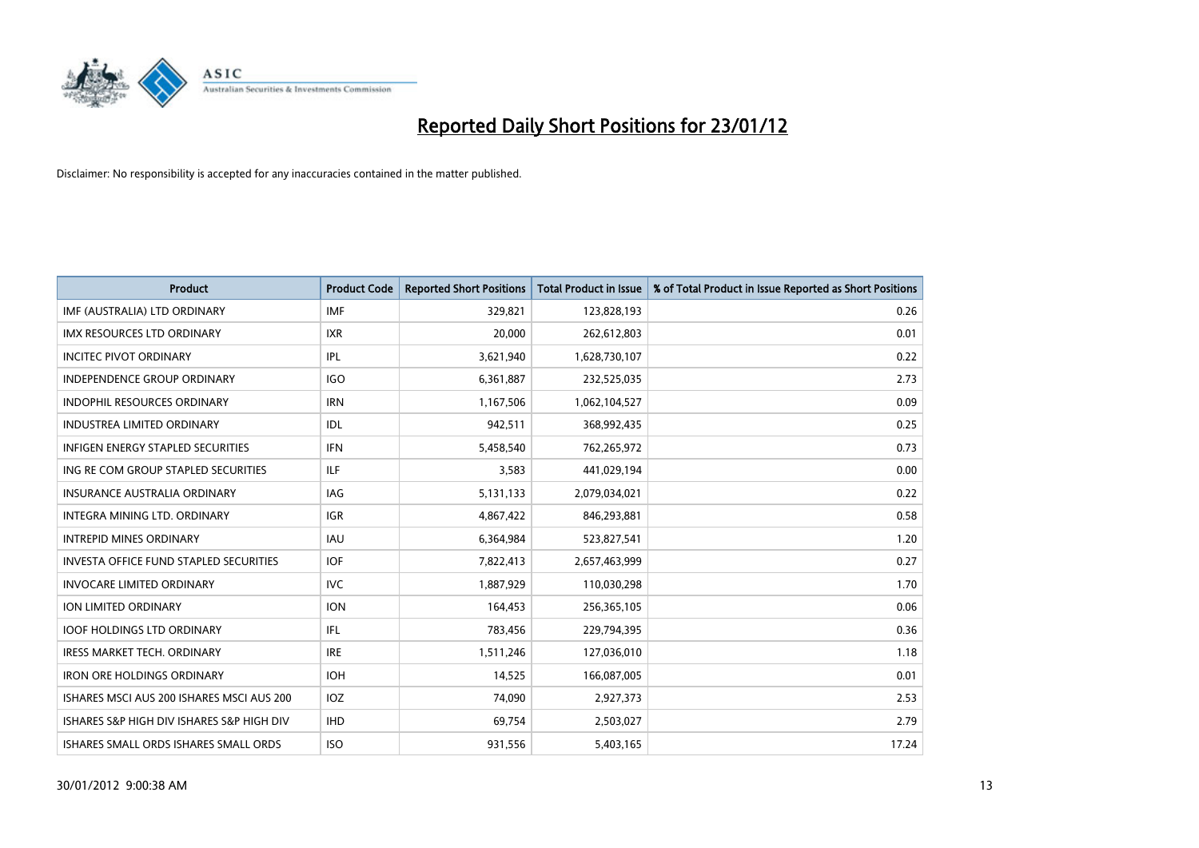

| <b>Product</b>                                | <b>Product Code</b> | <b>Reported Short Positions</b> | <b>Total Product in Issue</b> | % of Total Product in Issue Reported as Short Positions |
|-----------------------------------------------|---------------------|---------------------------------|-------------------------------|---------------------------------------------------------|
| IMF (AUSTRALIA) LTD ORDINARY                  | <b>IMF</b>          | 329,821                         | 123,828,193                   | 0.26                                                    |
| <b>IMX RESOURCES LTD ORDINARY</b>             | <b>IXR</b>          | 20,000                          | 262,612,803                   | 0.01                                                    |
| <b>INCITEC PIVOT ORDINARY</b>                 | IPL                 | 3,621,940                       | 1,628,730,107                 | 0.22                                                    |
| INDEPENDENCE GROUP ORDINARY                   | <b>IGO</b>          | 6,361,887                       | 232,525,035                   | 2.73                                                    |
| <b>INDOPHIL RESOURCES ORDINARY</b>            | <b>IRN</b>          | 1,167,506                       | 1,062,104,527                 | 0.09                                                    |
| <b>INDUSTREA LIMITED ORDINARY</b>             | <b>IDL</b>          | 942,511                         | 368,992,435                   | 0.25                                                    |
| <b>INFIGEN ENERGY STAPLED SECURITIES</b>      | <b>IFN</b>          | 5,458,540                       | 762,265,972                   | 0.73                                                    |
| ING RE COM GROUP STAPLED SECURITIES           | ILF.                | 3,583                           | 441,029,194                   | 0.00                                                    |
| <b>INSURANCE AUSTRALIA ORDINARY</b>           | IAG                 | 5,131,133                       | 2,079,034,021                 | 0.22                                                    |
| INTEGRA MINING LTD, ORDINARY                  | <b>IGR</b>          | 4,867,422                       | 846,293,881                   | 0.58                                                    |
| <b>INTREPID MINES ORDINARY</b>                | <b>IAU</b>          | 6,364,984                       | 523,827,541                   | 1.20                                                    |
| <b>INVESTA OFFICE FUND STAPLED SECURITIES</b> | <b>IOF</b>          | 7,822,413                       | 2,657,463,999                 | 0.27                                                    |
| <b>INVOCARE LIMITED ORDINARY</b>              | <b>IVC</b>          | 1,887,929                       | 110,030,298                   | 1.70                                                    |
| <b>ION LIMITED ORDINARY</b>                   | <b>ION</b>          | 164,453                         | 256,365,105                   | 0.06                                                    |
| <b>IOOF HOLDINGS LTD ORDINARY</b>             | IFL                 | 783,456                         | 229,794,395                   | 0.36                                                    |
| <b>IRESS MARKET TECH. ORDINARY</b>            | <b>IRE</b>          | 1,511,246                       | 127,036,010                   | 1.18                                                    |
| <b>IRON ORE HOLDINGS ORDINARY</b>             | <b>IOH</b>          | 14,525                          | 166,087,005                   | 0.01                                                    |
| ISHARES MSCI AUS 200 ISHARES MSCI AUS 200     | <b>IOZ</b>          | 74,090                          | 2,927,373                     | 2.53                                                    |
| ISHARES S&P HIGH DIV ISHARES S&P HIGH DIV     | <b>IHD</b>          | 69,754                          | 2,503,027                     | 2.79                                                    |
| ISHARES SMALL ORDS ISHARES SMALL ORDS         | <b>ISO</b>          | 931,556                         | 5,403,165                     | 17.24                                                   |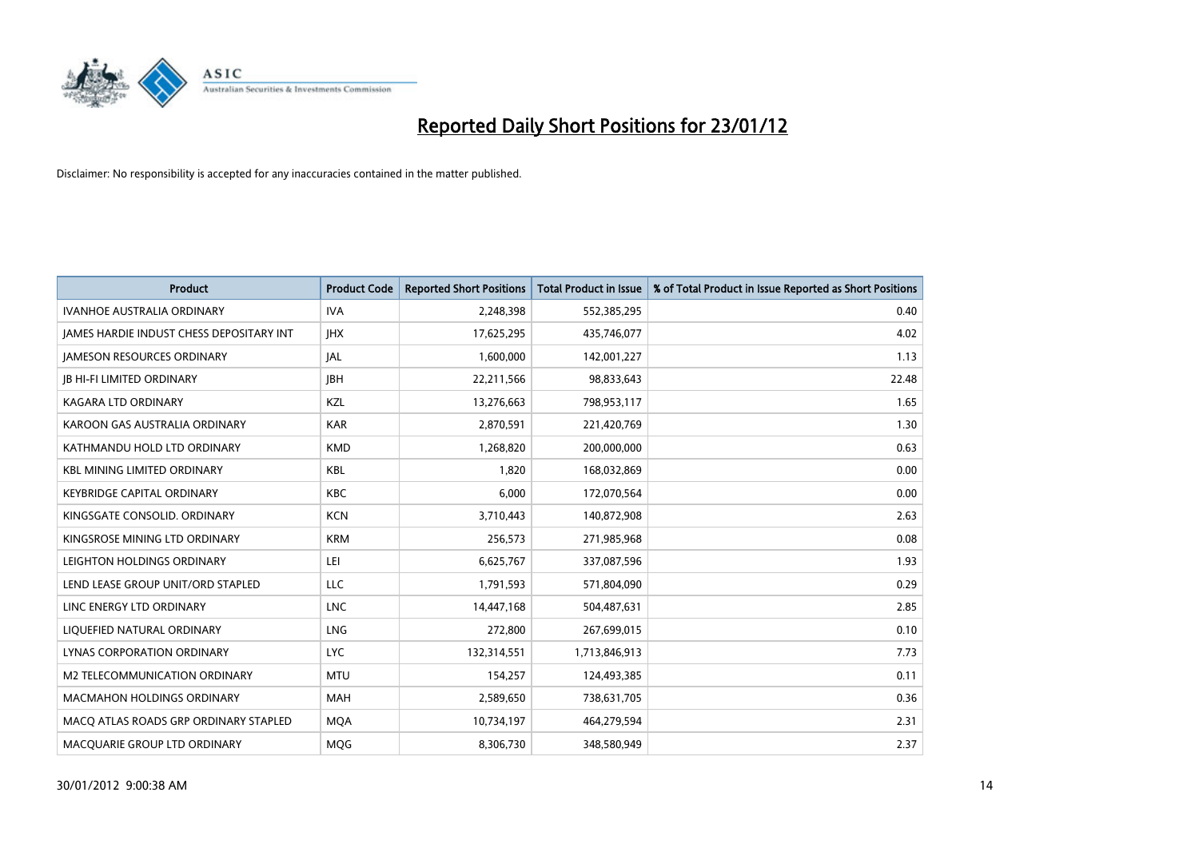

| <b>Product</b>                           | <b>Product Code</b> | <b>Reported Short Positions</b> | <b>Total Product in Issue</b> | % of Total Product in Issue Reported as Short Positions |
|------------------------------------------|---------------------|---------------------------------|-------------------------------|---------------------------------------------------------|
| <b>IVANHOE AUSTRALIA ORDINARY</b>        | <b>IVA</b>          | 2,248,398                       | 552,385,295                   | 0.40                                                    |
| JAMES HARDIE INDUST CHESS DEPOSITARY INT | <b>IHX</b>          | 17,625,295                      | 435,746,077                   | 4.02                                                    |
| <b>JAMESON RESOURCES ORDINARY</b>        | JAL                 | 1,600,000                       | 142,001,227                   | 1.13                                                    |
| <b>JB HI-FI LIMITED ORDINARY</b>         | <b>JBH</b>          | 22,211,566                      | 98,833,643                    | 22.48                                                   |
| <b>KAGARA LTD ORDINARY</b>               | KZL                 | 13,276,663                      | 798,953,117                   | 1.65                                                    |
| KAROON GAS AUSTRALIA ORDINARY            | <b>KAR</b>          | 2,870,591                       | 221,420,769                   | 1.30                                                    |
| KATHMANDU HOLD LTD ORDINARY              | <b>KMD</b>          | 1,268,820                       | 200,000,000                   | 0.63                                                    |
| <b>KBL MINING LIMITED ORDINARY</b>       | <b>KBL</b>          | 1,820                           | 168,032,869                   | 0.00                                                    |
| <b>KEYBRIDGE CAPITAL ORDINARY</b>        | <b>KBC</b>          | 6,000                           | 172,070,564                   | 0.00                                                    |
| KINGSGATE CONSOLID. ORDINARY             | <b>KCN</b>          | 3,710,443                       | 140,872,908                   | 2.63                                                    |
| KINGSROSE MINING LTD ORDINARY            | <b>KRM</b>          | 256,573                         | 271,985,968                   | 0.08                                                    |
| LEIGHTON HOLDINGS ORDINARY               | LEI                 | 6,625,767                       | 337,087,596                   | 1.93                                                    |
| LEND LEASE GROUP UNIT/ORD STAPLED        | <b>LLC</b>          | 1,791,593                       | 571,804,090                   | 0.29                                                    |
| LINC ENERGY LTD ORDINARY                 | <b>LNC</b>          | 14,447,168                      | 504,487,631                   | 2.85                                                    |
| LIQUEFIED NATURAL ORDINARY               | LNG                 | 272,800                         | 267,699,015                   | 0.10                                                    |
| <b>LYNAS CORPORATION ORDINARY</b>        | <b>LYC</b>          | 132,314,551                     | 1,713,846,913                 | 7.73                                                    |
| M2 TELECOMMUNICATION ORDINARY            | <b>MTU</b>          | 154,257                         | 124,493,385                   | 0.11                                                    |
| MACMAHON HOLDINGS ORDINARY               | <b>MAH</b>          | 2,589,650                       | 738,631,705                   | 0.36                                                    |
| MACO ATLAS ROADS GRP ORDINARY STAPLED    | <b>MQA</b>          | 10,734,197                      | 464,279,594                   | 2.31                                                    |
| MACQUARIE GROUP LTD ORDINARY             | <b>MOG</b>          | 8,306,730                       | 348,580,949                   | 2.37                                                    |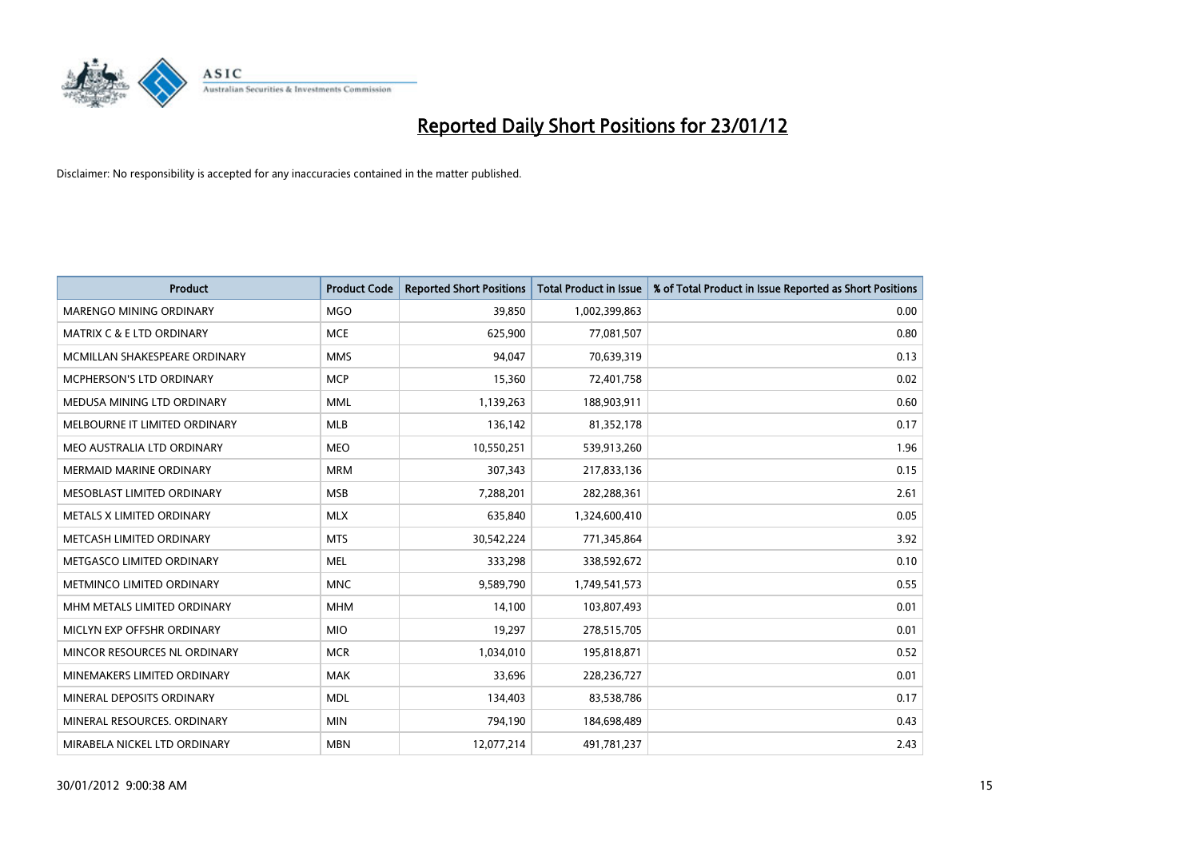

| <b>Product</b>                       | <b>Product Code</b> | <b>Reported Short Positions</b> | <b>Total Product in Issue</b> | % of Total Product in Issue Reported as Short Positions |
|--------------------------------------|---------------------|---------------------------------|-------------------------------|---------------------------------------------------------|
| MARENGO MINING ORDINARY              | <b>MGO</b>          | 39,850                          | 1,002,399,863                 | 0.00                                                    |
| <b>MATRIX C &amp; E LTD ORDINARY</b> | <b>MCE</b>          | 625,900                         | 77,081,507                    | 0.80                                                    |
| MCMILLAN SHAKESPEARE ORDINARY        | <b>MMS</b>          | 94,047                          | 70,639,319                    | 0.13                                                    |
| MCPHERSON'S LTD ORDINARY             | <b>MCP</b>          | 15,360                          | 72,401,758                    | 0.02                                                    |
| MEDUSA MINING LTD ORDINARY           | <b>MML</b>          | 1,139,263                       | 188,903,911                   | 0.60                                                    |
| MELBOURNE IT LIMITED ORDINARY        | <b>MLB</b>          | 136,142                         | 81,352,178                    | 0.17                                                    |
| MEO AUSTRALIA LTD ORDINARY           | <b>MEO</b>          | 10,550,251                      | 539,913,260                   | 1.96                                                    |
| MERMAID MARINE ORDINARY              | <b>MRM</b>          | 307,343                         | 217,833,136                   | 0.15                                                    |
| MESOBLAST LIMITED ORDINARY           | <b>MSB</b>          | 7,288,201                       | 282,288,361                   | 2.61                                                    |
| METALS X LIMITED ORDINARY            | <b>MLX</b>          | 635,840                         | 1,324,600,410                 | 0.05                                                    |
| METCASH LIMITED ORDINARY             | <b>MTS</b>          | 30,542,224                      | 771,345,864                   | 3.92                                                    |
| METGASCO LIMITED ORDINARY            | <b>MEL</b>          | 333,298                         | 338,592,672                   | 0.10                                                    |
| METMINCO LIMITED ORDINARY            | <b>MNC</b>          | 9,589,790                       | 1,749,541,573                 | 0.55                                                    |
| MHM METALS LIMITED ORDINARY          | <b>MHM</b>          | 14,100                          | 103,807,493                   | 0.01                                                    |
| MICLYN EXP OFFSHR ORDINARY           | <b>MIO</b>          | 19,297                          | 278,515,705                   | 0.01                                                    |
| MINCOR RESOURCES NL ORDINARY         | <b>MCR</b>          | 1,034,010                       | 195,818,871                   | 0.52                                                    |
| MINEMAKERS LIMITED ORDINARY          | <b>MAK</b>          | 33,696                          | 228,236,727                   | 0.01                                                    |
| MINERAL DEPOSITS ORDINARY            | <b>MDL</b>          | 134,403                         | 83,538,786                    | 0.17                                                    |
| MINERAL RESOURCES, ORDINARY          | <b>MIN</b>          | 794,190                         | 184,698,489                   | 0.43                                                    |
| MIRABELA NICKEL LTD ORDINARY         | <b>MBN</b>          | 12,077,214                      | 491,781,237                   | 2.43                                                    |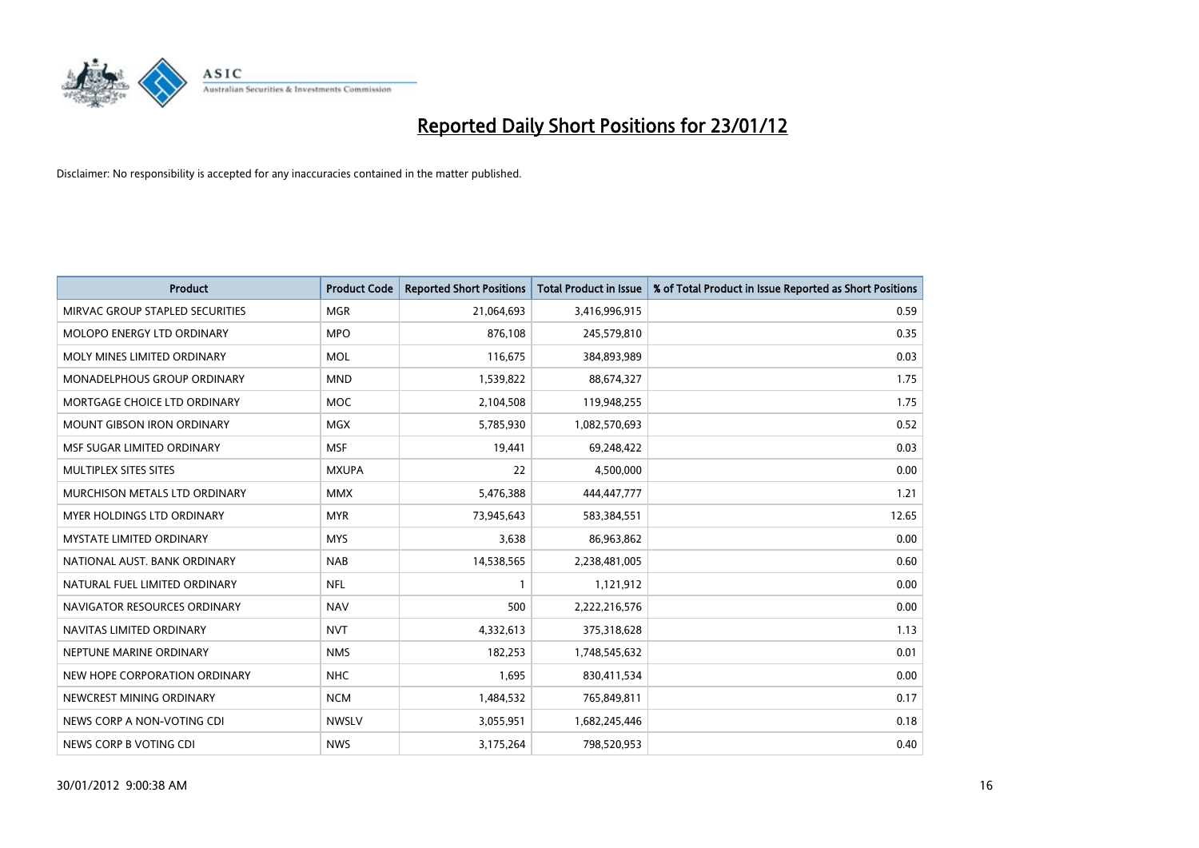

| <b>Product</b>                    | <b>Product Code</b> | <b>Reported Short Positions</b> | <b>Total Product in Issue</b> | % of Total Product in Issue Reported as Short Positions |
|-----------------------------------|---------------------|---------------------------------|-------------------------------|---------------------------------------------------------|
| MIRVAC GROUP STAPLED SECURITIES   | <b>MGR</b>          | 21,064,693                      | 3,416,996,915                 | 0.59                                                    |
| MOLOPO ENERGY LTD ORDINARY        | <b>MPO</b>          | 876,108                         | 245,579,810                   | 0.35                                                    |
| MOLY MINES LIMITED ORDINARY       | <b>MOL</b>          | 116,675                         | 384,893,989                   | 0.03                                                    |
| MONADELPHOUS GROUP ORDINARY       | <b>MND</b>          | 1,539,822                       | 88,674,327                    | 1.75                                                    |
| MORTGAGE CHOICE LTD ORDINARY      | <b>MOC</b>          | 2,104,508                       | 119,948,255                   | 1.75                                                    |
| <b>MOUNT GIBSON IRON ORDINARY</b> | <b>MGX</b>          | 5,785,930                       | 1,082,570,693                 | 0.52                                                    |
| MSF SUGAR LIMITED ORDINARY        | <b>MSF</b>          | 19,441                          | 69,248,422                    | 0.03                                                    |
| MULTIPLEX SITES SITES             | <b>MXUPA</b>        | 22                              | 4,500,000                     | 0.00                                                    |
| MURCHISON METALS LTD ORDINARY     | <b>MMX</b>          | 5,476,388                       | 444,447,777                   | 1.21                                                    |
| MYER HOLDINGS LTD ORDINARY        | <b>MYR</b>          | 73,945,643                      | 583,384,551                   | 12.65                                                   |
| MYSTATE LIMITED ORDINARY          | <b>MYS</b>          | 3,638                           | 86,963,862                    | 0.00                                                    |
| NATIONAL AUST, BANK ORDINARY      | <b>NAB</b>          | 14,538,565                      | 2,238,481,005                 | 0.60                                                    |
| NATURAL FUEL LIMITED ORDINARY     | <b>NFL</b>          | $\mathbf{1}$                    | 1,121,912                     | 0.00                                                    |
| NAVIGATOR RESOURCES ORDINARY      | <b>NAV</b>          | 500                             | 2,222,216,576                 | 0.00                                                    |
| NAVITAS LIMITED ORDINARY          | <b>NVT</b>          | 4,332,613                       | 375,318,628                   | 1.13                                                    |
| NEPTUNE MARINE ORDINARY           | <b>NMS</b>          | 182,253                         | 1,748,545,632                 | 0.01                                                    |
| NEW HOPE CORPORATION ORDINARY     | <b>NHC</b>          | 1,695                           | 830,411,534                   | 0.00                                                    |
| NEWCREST MINING ORDINARY          | <b>NCM</b>          | 1,484,532                       | 765,849,811                   | 0.17                                                    |
| NEWS CORP A NON-VOTING CDI        | <b>NWSLV</b>        | 3,055,951                       | 1,682,245,446                 | 0.18                                                    |
| NEWS CORP B VOTING CDI            | <b>NWS</b>          | 3,175,264                       | 798,520,953                   | 0.40                                                    |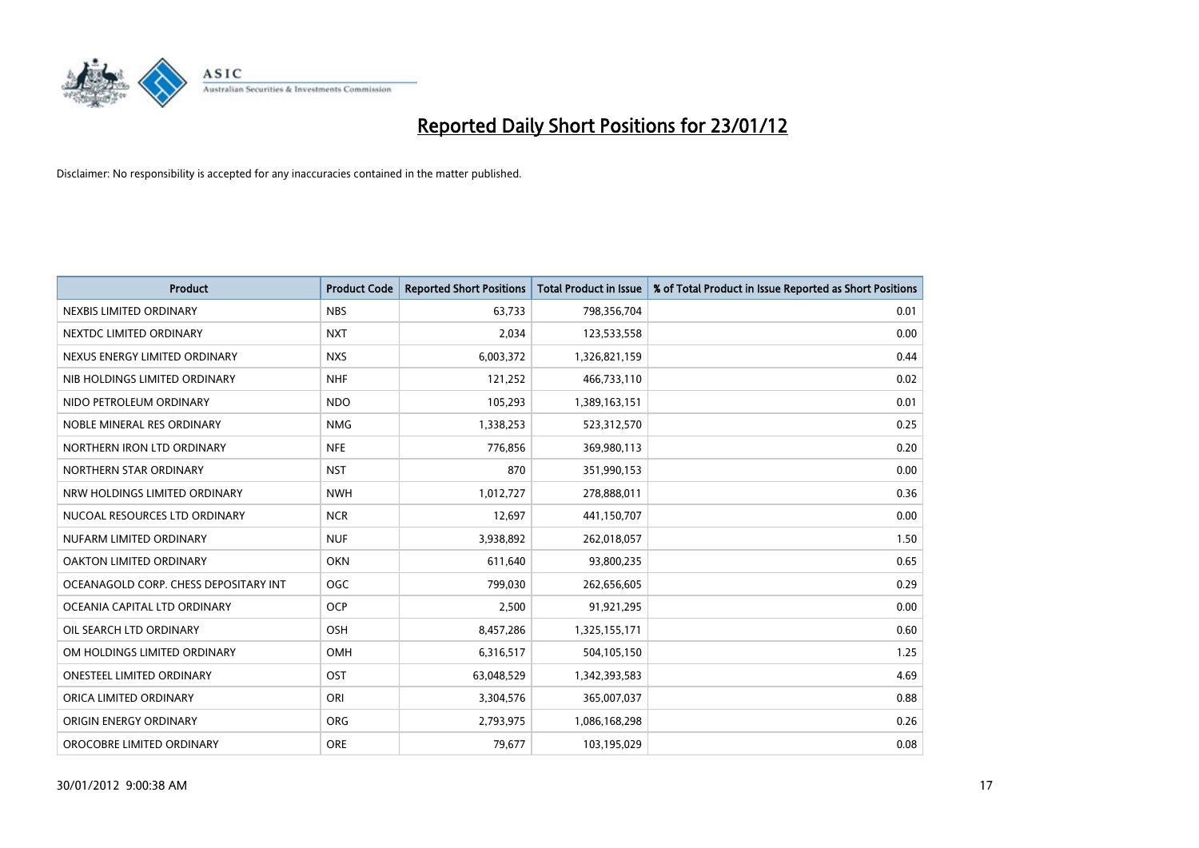

| <b>Product</b>                        | <b>Product Code</b> | <b>Reported Short Positions</b> | <b>Total Product in Issue</b> | % of Total Product in Issue Reported as Short Positions |
|---------------------------------------|---------------------|---------------------------------|-------------------------------|---------------------------------------------------------|
| NEXBIS LIMITED ORDINARY               | <b>NBS</b>          | 63,733                          | 798,356,704                   | 0.01                                                    |
| NEXTDC LIMITED ORDINARY               | <b>NXT</b>          | 2,034                           | 123,533,558                   | 0.00                                                    |
| NEXUS ENERGY LIMITED ORDINARY         | <b>NXS</b>          | 6,003,372                       | 1,326,821,159                 | 0.44                                                    |
| NIB HOLDINGS LIMITED ORDINARY         | <b>NHF</b>          | 121,252                         | 466,733,110                   | 0.02                                                    |
| NIDO PETROLEUM ORDINARY               | <b>NDO</b>          | 105,293                         | 1,389,163,151                 | 0.01                                                    |
| NOBLE MINERAL RES ORDINARY            | <b>NMG</b>          | 1,338,253                       | 523,312,570                   | 0.25                                                    |
| NORTHERN IRON LTD ORDINARY            | <b>NFE</b>          | 776,856                         | 369,980,113                   | 0.20                                                    |
| NORTHERN STAR ORDINARY                | <b>NST</b>          | 870                             | 351,990,153                   | 0.00                                                    |
| NRW HOLDINGS LIMITED ORDINARY         | <b>NWH</b>          | 1,012,727                       | 278,888,011                   | 0.36                                                    |
| NUCOAL RESOURCES LTD ORDINARY         | <b>NCR</b>          | 12,697                          | 441,150,707                   | 0.00                                                    |
| NUFARM LIMITED ORDINARY               | <b>NUF</b>          | 3,938,892                       | 262,018,057                   | 1.50                                                    |
| <b>OAKTON LIMITED ORDINARY</b>        | <b>OKN</b>          | 611,640                         | 93,800,235                    | 0.65                                                    |
| OCEANAGOLD CORP. CHESS DEPOSITARY INT | OGC                 | 799,030                         | 262,656,605                   | 0.29                                                    |
| OCEANIA CAPITAL LTD ORDINARY          | <b>OCP</b>          | 2,500                           | 91,921,295                    | 0.00                                                    |
| OIL SEARCH LTD ORDINARY               | OSH                 | 8,457,286                       | 1,325,155,171                 | 0.60                                                    |
| OM HOLDINGS LIMITED ORDINARY          | OMH                 | 6,316,517                       | 504,105,150                   | 1.25                                                    |
| ONESTEEL LIMITED ORDINARY             | OST                 | 63,048,529                      | 1,342,393,583                 | 4.69                                                    |
| ORICA LIMITED ORDINARY                | ORI                 | 3,304,576                       | 365,007,037                   | 0.88                                                    |
| ORIGIN ENERGY ORDINARY                | <b>ORG</b>          | 2,793,975                       | 1,086,168,298                 | 0.26                                                    |
| OROCOBRE LIMITED ORDINARY             | <b>ORE</b>          | 79,677                          | 103,195,029                   | 0.08                                                    |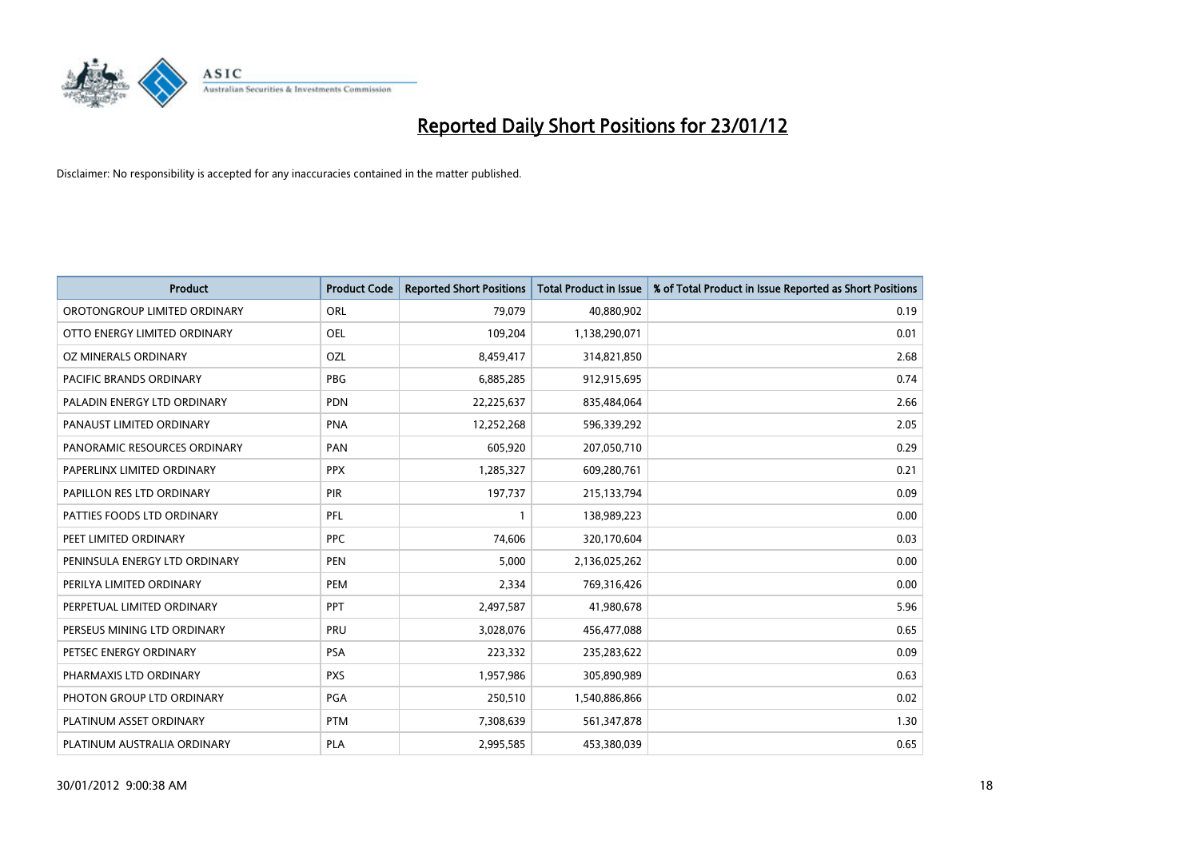

| <b>Product</b>                | <b>Product Code</b> | <b>Reported Short Positions</b> | <b>Total Product in Issue</b> | % of Total Product in Issue Reported as Short Positions |
|-------------------------------|---------------------|---------------------------------|-------------------------------|---------------------------------------------------------|
| OROTONGROUP LIMITED ORDINARY  | ORL                 | 79,079                          | 40,880,902                    | 0.19                                                    |
| OTTO ENERGY LIMITED ORDINARY  | OEL                 | 109,204                         | 1,138,290,071                 | 0.01                                                    |
| OZ MINERALS ORDINARY          | OZL                 | 8,459,417                       | 314,821,850                   | 2.68                                                    |
| PACIFIC BRANDS ORDINARY       | <b>PBG</b>          | 6,885,285                       | 912,915,695                   | 0.74                                                    |
| PALADIN ENERGY LTD ORDINARY   | <b>PDN</b>          | 22,225,637                      | 835,484,064                   | 2.66                                                    |
| PANAUST LIMITED ORDINARY      | <b>PNA</b>          | 12,252,268                      | 596,339,292                   | 2.05                                                    |
| PANORAMIC RESOURCES ORDINARY  | PAN                 | 605,920                         | 207,050,710                   | 0.29                                                    |
| PAPERLINX LIMITED ORDINARY    | <b>PPX</b>          | 1,285,327                       | 609,280,761                   | 0.21                                                    |
| PAPILLON RES LTD ORDINARY     | PIR                 | 197,737                         | 215,133,794                   | 0.09                                                    |
| PATTIES FOODS LTD ORDINARY    | <b>PFL</b>          | $\mathbf{1}$                    | 138,989,223                   | 0.00                                                    |
| PEET LIMITED ORDINARY         | <b>PPC</b>          | 74,606                          | 320,170,604                   | 0.03                                                    |
| PENINSULA ENERGY LTD ORDINARY | <b>PEN</b>          | 5,000                           | 2,136,025,262                 | 0.00                                                    |
| PERILYA LIMITED ORDINARY      | PEM                 | 2,334                           | 769,316,426                   | 0.00                                                    |
| PERPETUAL LIMITED ORDINARY    | <b>PPT</b>          | 2,497,587                       | 41,980,678                    | 5.96                                                    |
| PERSEUS MINING LTD ORDINARY   | PRU                 | 3,028,076                       | 456,477,088                   | 0.65                                                    |
| PETSEC ENERGY ORDINARY        | <b>PSA</b>          | 223,332                         | 235,283,622                   | 0.09                                                    |
| PHARMAXIS LTD ORDINARY        | <b>PXS</b>          | 1,957,986                       | 305,890,989                   | 0.63                                                    |
| PHOTON GROUP LTD ORDINARY     | <b>PGA</b>          | 250,510                         | 1,540,886,866                 | 0.02                                                    |
| PLATINUM ASSET ORDINARY       | <b>PTM</b>          | 7,308,639                       | 561,347,878                   | 1.30                                                    |
| PLATINUM AUSTRALIA ORDINARY   | PLA                 | 2,995,585                       | 453,380,039                   | 0.65                                                    |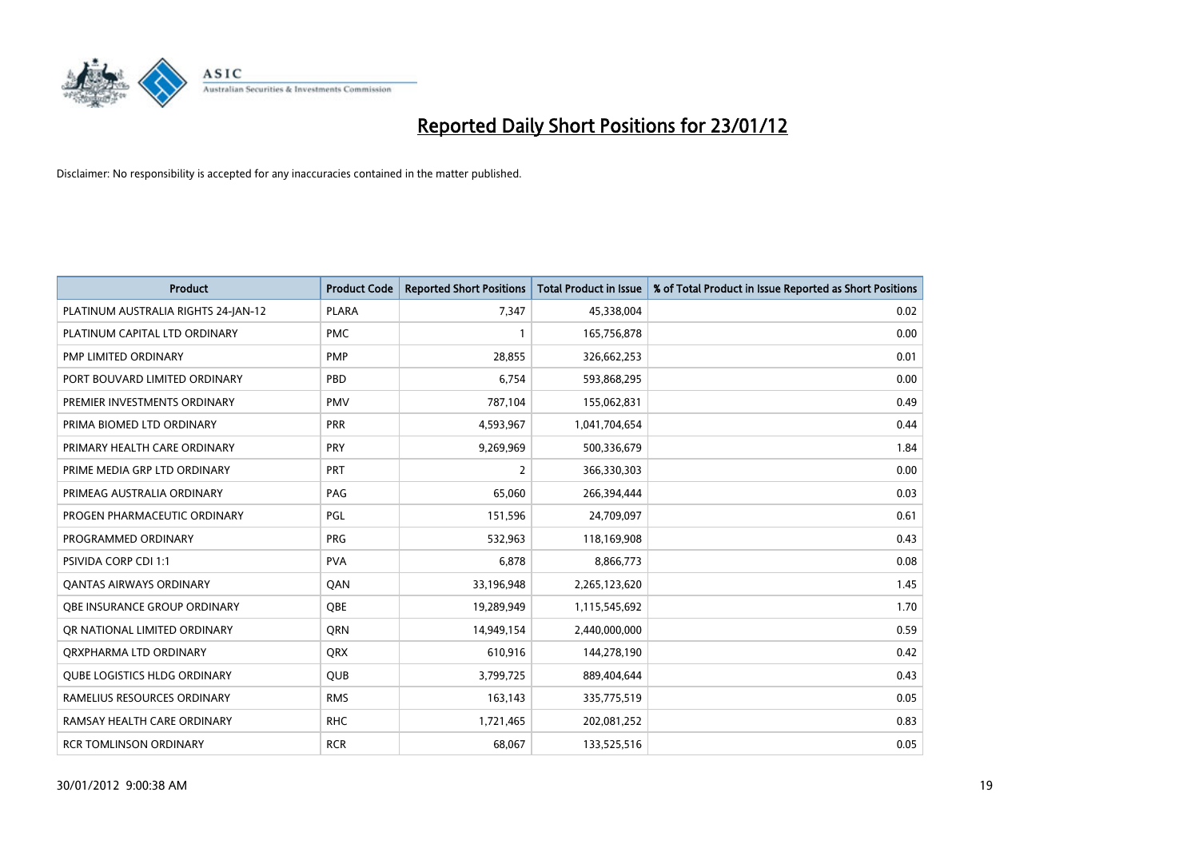

| <b>Product</b>                      | <b>Product Code</b> | <b>Reported Short Positions</b> | <b>Total Product in Issue</b> | % of Total Product in Issue Reported as Short Positions |
|-------------------------------------|---------------------|---------------------------------|-------------------------------|---------------------------------------------------------|
| PLATINUM AUSTRALIA RIGHTS 24-JAN-12 | <b>PLARA</b>        | 7,347                           | 45,338,004                    | 0.02                                                    |
| PLATINUM CAPITAL LTD ORDINARY       | <b>PMC</b>          |                                 | 165,756,878                   | 0.00                                                    |
| PMP LIMITED ORDINARY                | <b>PMP</b>          | 28,855                          | 326,662,253                   | 0.01                                                    |
| PORT BOUVARD LIMITED ORDINARY       | PBD                 | 6,754                           | 593,868,295                   | 0.00                                                    |
| PREMIER INVESTMENTS ORDINARY        | <b>PMV</b>          | 787,104                         | 155,062,831                   | 0.49                                                    |
| PRIMA BIOMED LTD ORDINARY           | <b>PRR</b>          | 4,593,967                       | 1,041,704,654                 | 0.44                                                    |
| PRIMARY HEALTH CARE ORDINARY        | <b>PRY</b>          | 9,269,969                       | 500,336,679                   | 1.84                                                    |
| PRIME MEDIA GRP LTD ORDINARY        | PRT                 | $\overline{2}$                  | 366,330,303                   | 0.00                                                    |
| PRIMEAG AUSTRALIA ORDINARY          | PAG                 | 65.060                          | 266,394,444                   | 0.03                                                    |
| PROGEN PHARMACEUTIC ORDINARY        | PGL                 | 151,596                         | 24,709,097                    | 0.61                                                    |
| PROGRAMMED ORDINARY                 | <b>PRG</b>          | 532,963                         | 118,169,908                   | 0.43                                                    |
| <b>PSIVIDA CORP CDI 1:1</b>         | <b>PVA</b>          | 6,878                           | 8,866,773                     | 0.08                                                    |
| <b>QANTAS AIRWAYS ORDINARY</b>      | QAN                 | 33,196,948                      | 2,265,123,620                 | 1.45                                                    |
| OBE INSURANCE GROUP ORDINARY        | <b>OBE</b>          | 19,289,949                      | 1,115,545,692                 | 1.70                                                    |
| OR NATIONAL LIMITED ORDINARY        | <b>ORN</b>          | 14,949,154                      | 2,440,000,000                 | 0.59                                                    |
| ORXPHARMA LTD ORDINARY              | <b>QRX</b>          | 610,916                         | 144,278,190                   | 0.42                                                    |
| <b>QUBE LOGISTICS HLDG ORDINARY</b> | QUB                 | 3,799,725                       | 889,404,644                   | 0.43                                                    |
| RAMELIUS RESOURCES ORDINARY         | <b>RMS</b>          | 163,143                         | 335,775,519                   | 0.05                                                    |
| RAMSAY HEALTH CARE ORDINARY         | <b>RHC</b>          | 1,721,465                       | 202,081,252                   | 0.83                                                    |
| <b>RCR TOMLINSON ORDINARY</b>       | <b>RCR</b>          | 68,067                          | 133,525,516                   | 0.05                                                    |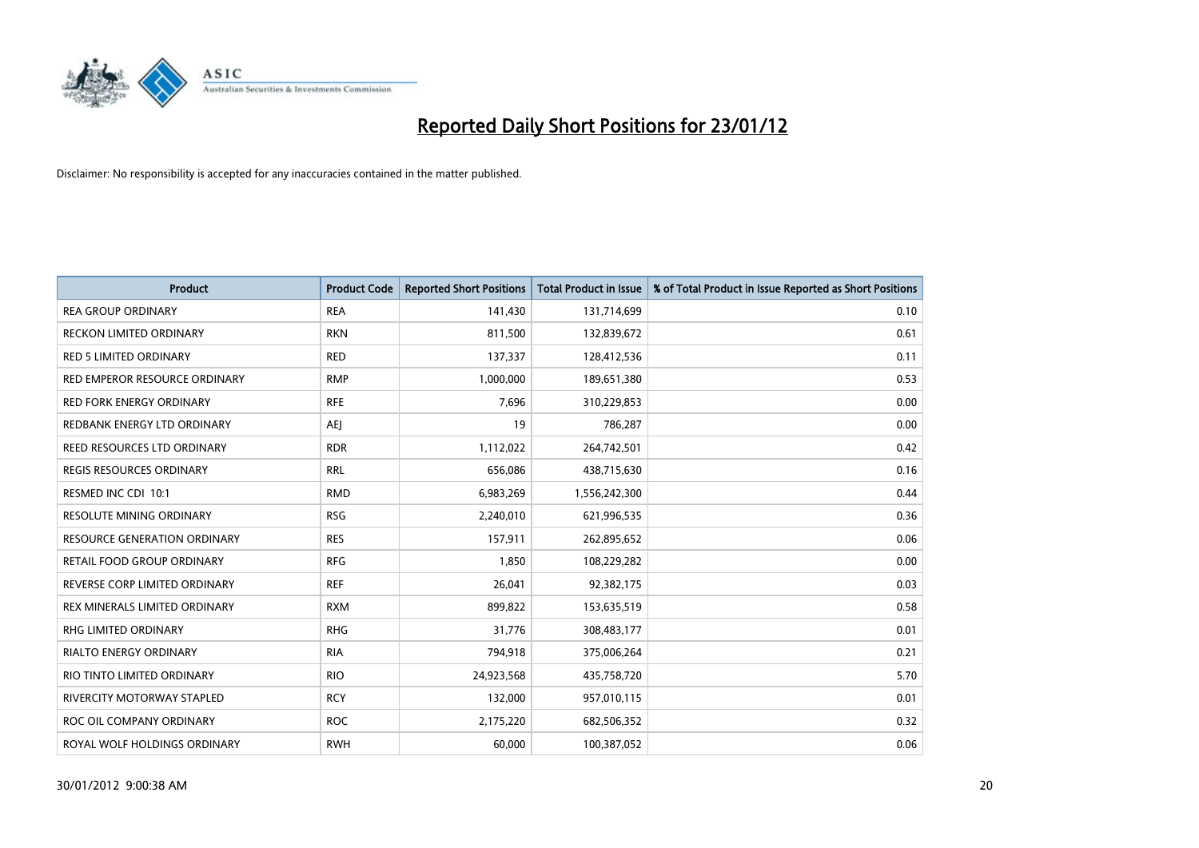

| <b>Product</b>                      | <b>Product Code</b> | <b>Reported Short Positions</b> | <b>Total Product in Issue</b> | % of Total Product in Issue Reported as Short Positions |
|-------------------------------------|---------------------|---------------------------------|-------------------------------|---------------------------------------------------------|
| <b>REA GROUP ORDINARY</b>           | <b>REA</b>          | 141,430                         | 131,714,699                   | 0.10                                                    |
| RECKON LIMITED ORDINARY             | <b>RKN</b>          | 811,500                         | 132,839,672                   | 0.61                                                    |
| RED 5 LIMITED ORDINARY              | <b>RED</b>          | 137,337                         | 128,412,536                   | 0.11                                                    |
| RED EMPEROR RESOURCE ORDINARY       | <b>RMP</b>          | 1,000,000                       | 189,651,380                   | 0.53                                                    |
| <b>RED FORK ENERGY ORDINARY</b>     | <b>RFE</b>          | 7,696                           | 310,229,853                   | 0.00                                                    |
| REDBANK ENERGY LTD ORDINARY         | <b>AEJ</b>          | 19                              | 786,287                       | 0.00                                                    |
| REED RESOURCES LTD ORDINARY         | <b>RDR</b>          | 1,112,022                       | 264,742,501                   | 0.42                                                    |
| REGIS RESOURCES ORDINARY            | <b>RRL</b>          | 656,086                         | 438,715,630                   | 0.16                                                    |
| RESMED INC CDI 10:1                 | <b>RMD</b>          | 6,983,269                       | 1,556,242,300                 | 0.44                                                    |
| <b>RESOLUTE MINING ORDINARY</b>     | <b>RSG</b>          | 2,240,010                       | 621,996,535                   | 0.36                                                    |
| <b>RESOURCE GENERATION ORDINARY</b> | <b>RES</b>          | 157,911                         | 262,895,652                   | 0.06                                                    |
| RETAIL FOOD GROUP ORDINARY          | <b>RFG</b>          | 1,850                           | 108,229,282                   | 0.00                                                    |
| REVERSE CORP LIMITED ORDINARY       | <b>REF</b>          | 26,041                          | 92,382,175                    | 0.03                                                    |
| REX MINERALS LIMITED ORDINARY       | <b>RXM</b>          | 899,822                         | 153,635,519                   | 0.58                                                    |
| <b>RHG LIMITED ORDINARY</b>         | <b>RHG</b>          | 31,776                          | 308,483,177                   | 0.01                                                    |
| <b>RIALTO ENERGY ORDINARY</b>       | <b>RIA</b>          | 794,918                         | 375,006,264                   | 0.21                                                    |
| RIO TINTO LIMITED ORDINARY          | <b>RIO</b>          | 24,923,568                      | 435,758,720                   | 5.70                                                    |
| <b>RIVERCITY MOTORWAY STAPLED</b>   | <b>RCY</b>          | 132,000                         | 957,010,115                   | 0.01                                                    |
| ROC OIL COMPANY ORDINARY            | <b>ROC</b>          | 2,175,220                       | 682,506,352                   | 0.32                                                    |
| ROYAL WOLF HOLDINGS ORDINARY        | <b>RWH</b>          | 60,000                          | 100,387,052                   | 0.06                                                    |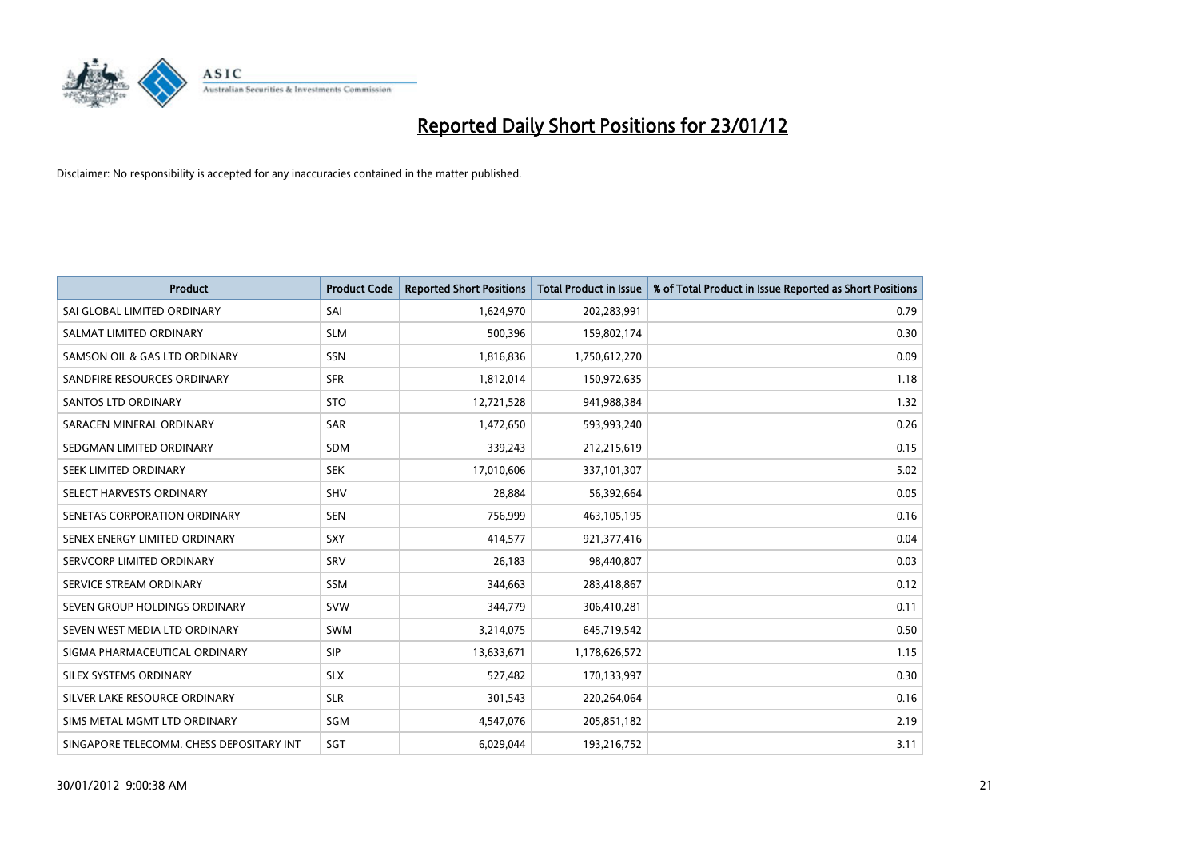

| <b>Product</b>                           | <b>Product Code</b> | <b>Reported Short Positions</b> | <b>Total Product in Issue</b> | % of Total Product in Issue Reported as Short Positions |
|------------------------------------------|---------------------|---------------------------------|-------------------------------|---------------------------------------------------------|
| SAI GLOBAL LIMITED ORDINARY              | SAI                 | 1,624,970                       | 202,283,991                   | 0.79                                                    |
| SALMAT LIMITED ORDINARY                  | <b>SLM</b>          | 500,396                         | 159,802,174                   | 0.30                                                    |
| SAMSON OIL & GAS LTD ORDINARY            | <b>SSN</b>          | 1,816,836                       | 1,750,612,270                 | 0.09                                                    |
| SANDFIRE RESOURCES ORDINARY              | <b>SFR</b>          | 1,812,014                       | 150,972,635                   | 1.18                                                    |
| <b>SANTOS LTD ORDINARY</b>               | <b>STO</b>          | 12,721,528                      | 941,988,384                   | 1.32                                                    |
| SARACEN MINERAL ORDINARY                 | <b>SAR</b>          | 1,472,650                       | 593,993,240                   | 0.26                                                    |
| SEDGMAN LIMITED ORDINARY                 | <b>SDM</b>          | 339,243                         | 212,215,619                   | 0.15                                                    |
| SEEK LIMITED ORDINARY                    | <b>SEK</b>          | 17,010,606                      | 337,101,307                   | 5.02                                                    |
| SELECT HARVESTS ORDINARY                 | <b>SHV</b>          | 28.884                          | 56,392,664                    | 0.05                                                    |
| SENETAS CORPORATION ORDINARY             | <b>SEN</b>          | 756,999                         | 463,105,195                   | 0.16                                                    |
| SENEX ENERGY LIMITED ORDINARY            | <b>SXY</b>          | 414,577                         | 921,377,416                   | 0.04                                                    |
| SERVCORP LIMITED ORDINARY                | SRV                 | 26,183                          | 98,440,807                    | 0.03                                                    |
| SERVICE STREAM ORDINARY                  | SSM                 | 344,663                         | 283,418,867                   | 0.12                                                    |
| SEVEN GROUP HOLDINGS ORDINARY            | <b>SVW</b>          | 344,779                         | 306,410,281                   | 0.11                                                    |
| SEVEN WEST MEDIA LTD ORDINARY            | <b>SWM</b>          | 3,214,075                       | 645,719,542                   | 0.50                                                    |
| SIGMA PHARMACEUTICAL ORDINARY            | <b>SIP</b>          | 13,633,671                      | 1,178,626,572                 | 1.15                                                    |
| SILEX SYSTEMS ORDINARY                   | <b>SLX</b>          | 527,482                         | 170,133,997                   | 0.30                                                    |
| SILVER LAKE RESOURCE ORDINARY            | <b>SLR</b>          | 301,543                         | 220,264,064                   | 0.16                                                    |
| SIMS METAL MGMT LTD ORDINARY             | SGM                 | 4,547,076                       | 205,851,182                   | 2.19                                                    |
| SINGAPORE TELECOMM. CHESS DEPOSITARY INT | SGT                 | 6,029,044                       | 193,216,752                   | 3.11                                                    |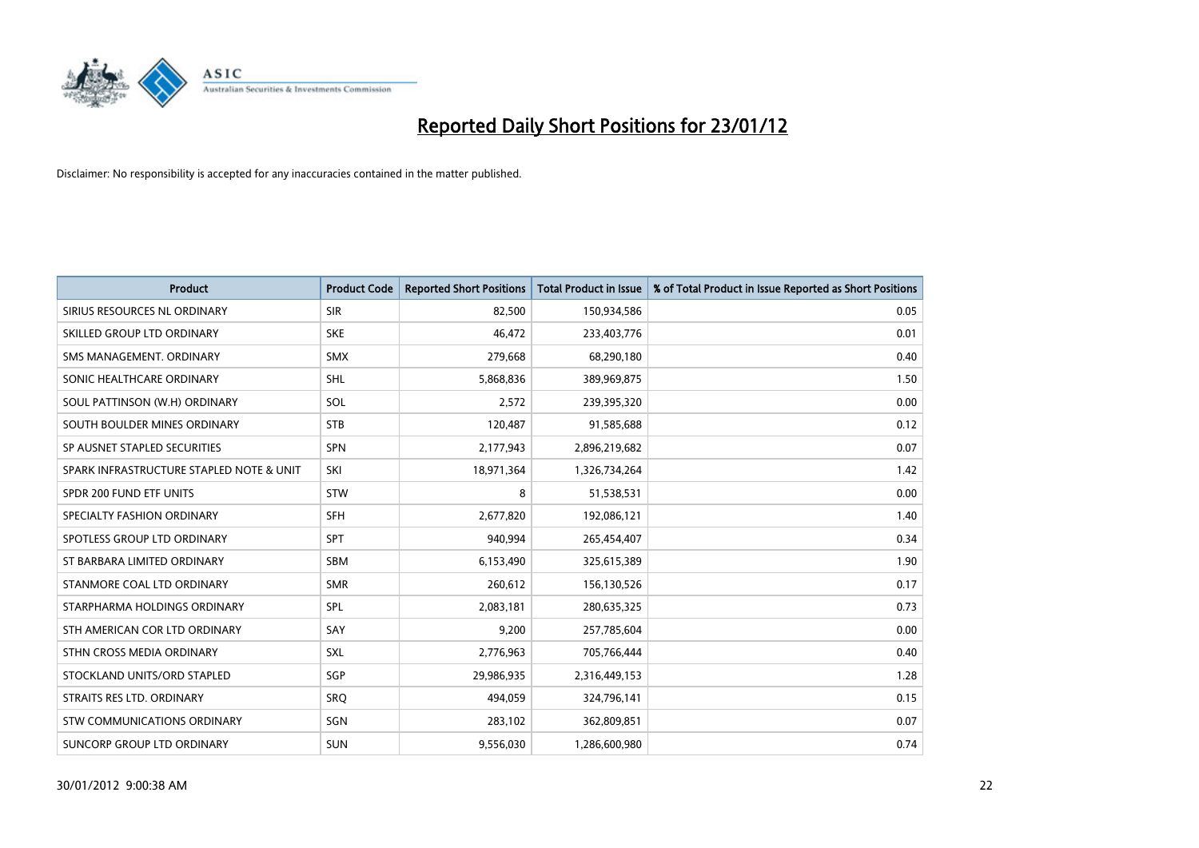

| <b>Product</b>                           | <b>Product Code</b> | <b>Reported Short Positions</b> | <b>Total Product in Issue</b> | % of Total Product in Issue Reported as Short Positions |
|------------------------------------------|---------------------|---------------------------------|-------------------------------|---------------------------------------------------------|
| SIRIUS RESOURCES NL ORDINARY             | <b>SIR</b>          | 82,500                          | 150,934,586                   | 0.05                                                    |
| SKILLED GROUP LTD ORDINARY               | <b>SKE</b>          | 46,472                          | 233,403,776                   | 0.01                                                    |
| SMS MANAGEMENT, ORDINARY                 | <b>SMX</b>          | 279,668                         | 68,290,180                    | 0.40                                                    |
| SONIC HEALTHCARE ORDINARY                | <b>SHL</b>          | 5,868,836                       | 389,969,875                   | 1.50                                                    |
| SOUL PATTINSON (W.H) ORDINARY            | SOL                 | 2,572                           | 239,395,320                   | 0.00                                                    |
| SOUTH BOULDER MINES ORDINARY             | <b>STB</b>          | 120,487                         | 91,585,688                    | 0.12                                                    |
| SP AUSNET STAPLED SECURITIES             | SPN                 | 2,177,943                       | 2,896,219,682                 | 0.07                                                    |
| SPARK INFRASTRUCTURE STAPLED NOTE & UNIT | SKI                 | 18,971,364                      | 1,326,734,264                 | 1.42                                                    |
| SPDR 200 FUND ETF UNITS                  | <b>STW</b>          | 8                               | 51,538,531                    | 0.00                                                    |
| SPECIALTY FASHION ORDINARY               | SFH                 | 2,677,820                       | 192,086,121                   | 1.40                                                    |
| SPOTLESS GROUP LTD ORDINARY              | <b>SPT</b>          | 940,994                         | 265,454,407                   | 0.34                                                    |
| ST BARBARA LIMITED ORDINARY              | <b>SBM</b>          | 6,153,490                       | 325,615,389                   | 1.90                                                    |
| STANMORE COAL LTD ORDINARY               | <b>SMR</b>          | 260,612                         | 156,130,526                   | 0.17                                                    |
| STARPHARMA HOLDINGS ORDINARY             | SPL                 | 2,083,181                       | 280,635,325                   | 0.73                                                    |
| STH AMERICAN COR LTD ORDINARY            | SAY                 | 9,200                           | 257,785,604                   | 0.00                                                    |
| STHN CROSS MEDIA ORDINARY                | <b>SXL</b>          | 2,776,963                       | 705,766,444                   | 0.40                                                    |
| STOCKLAND UNITS/ORD STAPLED              | SGP                 | 29,986,935                      | 2,316,449,153                 | 1.28                                                    |
| STRAITS RES LTD. ORDINARY                | SRQ                 | 494,059                         | 324,796,141                   | 0.15                                                    |
| STW COMMUNICATIONS ORDINARY              | SGN                 | 283,102                         | 362,809,851                   | 0.07                                                    |
| SUNCORP GROUP LTD ORDINARY               | <b>SUN</b>          | 9,556,030                       | 1,286,600,980                 | 0.74                                                    |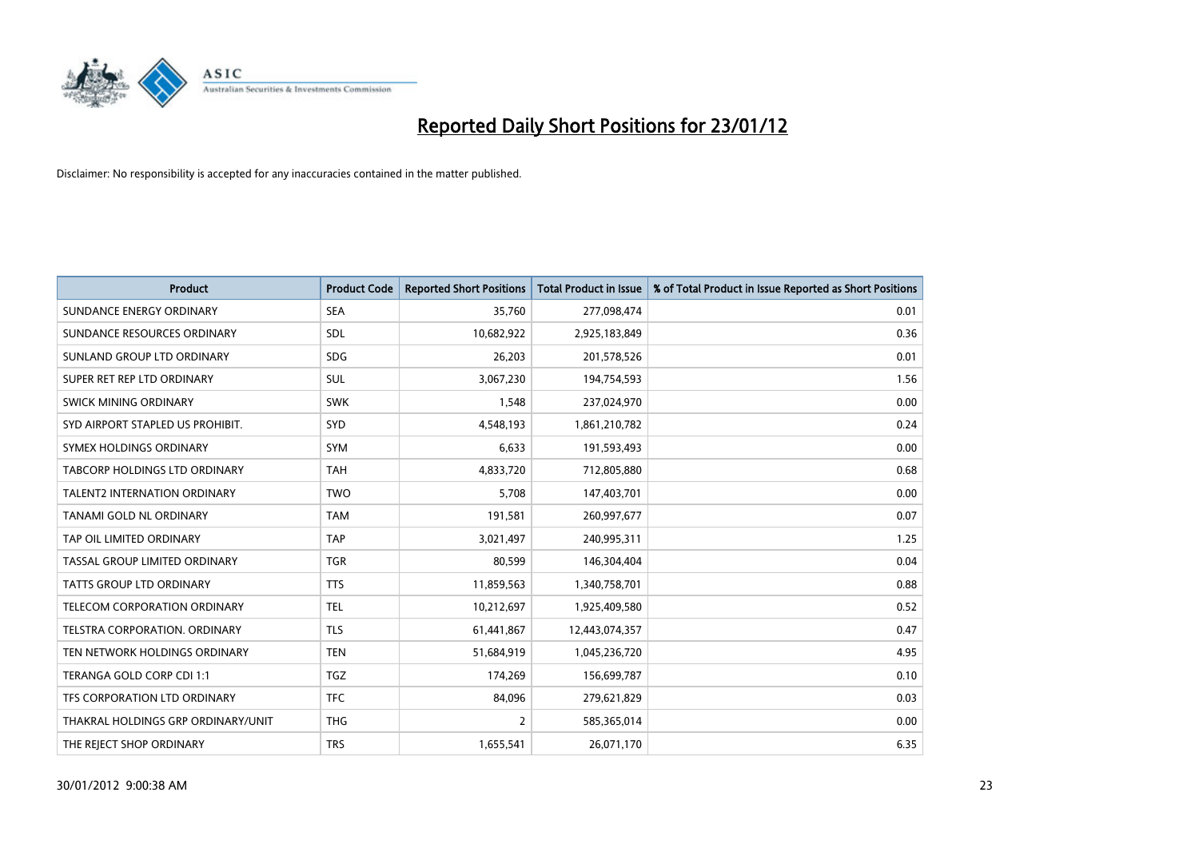

| <b>Product</b>                     | <b>Product Code</b> | <b>Reported Short Positions</b> | <b>Total Product in Issue</b> | % of Total Product in Issue Reported as Short Positions |
|------------------------------------|---------------------|---------------------------------|-------------------------------|---------------------------------------------------------|
| SUNDANCE ENERGY ORDINARY           | <b>SEA</b>          | 35,760                          | 277,098,474                   | 0.01                                                    |
| SUNDANCE RESOURCES ORDINARY        | <b>SDL</b>          | 10,682,922                      | 2,925,183,849                 | 0.36                                                    |
| SUNLAND GROUP LTD ORDINARY         | <b>SDG</b>          | 26,203                          | 201,578,526                   | 0.01                                                    |
| SUPER RET REP LTD ORDINARY         | SUL                 | 3,067,230                       | 194,754,593                   | 1.56                                                    |
| SWICK MINING ORDINARY              | <b>SWK</b>          | 1,548                           | 237,024,970                   | 0.00                                                    |
| SYD AIRPORT STAPLED US PROHIBIT.   | <b>SYD</b>          | 4,548,193                       | 1,861,210,782                 | 0.24                                                    |
| SYMEX HOLDINGS ORDINARY            | <b>SYM</b>          | 6,633                           | 191,593,493                   | 0.00                                                    |
| TABCORP HOLDINGS LTD ORDINARY      | <b>TAH</b>          | 4,833,720                       | 712,805,880                   | 0.68                                                    |
| TALENT2 INTERNATION ORDINARY       | <b>TWO</b>          | 5,708                           | 147,403,701                   | 0.00                                                    |
| <b>TANAMI GOLD NL ORDINARY</b>     | <b>TAM</b>          | 191,581                         | 260,997,677                   | 0.07                                                    |
| TAP OIL LIMITED ORDINARY           | <b>TAP</b>          | 3,021,497                       | 240,995,311                   | 1.25                                                    |
| TASSAL GROUP LIMITED ORDINARY      | <b>TGR</b>          | 80,599                          | 146,304,404                   | 0.04                                                    |
| TATTS GROUP LTD ORDINARY           | <b>TTS</b>          | 11,859,563                      | 1,340,758,701                 | 0.88                                                    |
| TELECOM CORPORATION ORDINARY       | <b>TEL</b>          | 10,212,697                      | 1,925,409,580                 | 0.52                                                    |
| TELSTRA CORPORATION, ORDINARY      | <b>TLS</b>          | 61,441,867                      | 12,443,074,357                | 0.47                                                    |
| TEN NETWORK HOLDINGS ORDINARY      | <b>TEN</b>          | 51,684,919                      | 1,045,236,720                 | 4.95                                                    |
| TERANGA GOLD CORP CDI 1:1          | <b>TGZ</b>          | 174,269                         | 156,699,787                   | 0.10                                                    |
| TFS CORPORATION LTD ORDINARY       | <b>TFC</b>          | 84,096                          | 279,621,829                   | 0.03                                                    |
| THAKRAL HOLDINGS GRP ORDINARY/UNIT | <b>THG</b>          | $\overline{2}$                  | 585,365,014                   | 0.00                                                    |
| THE REJECT SHOP ORDINARY           | <b>TRS</b>          | 1,655,541                       | 26,071,170                    | 6.35                                                    |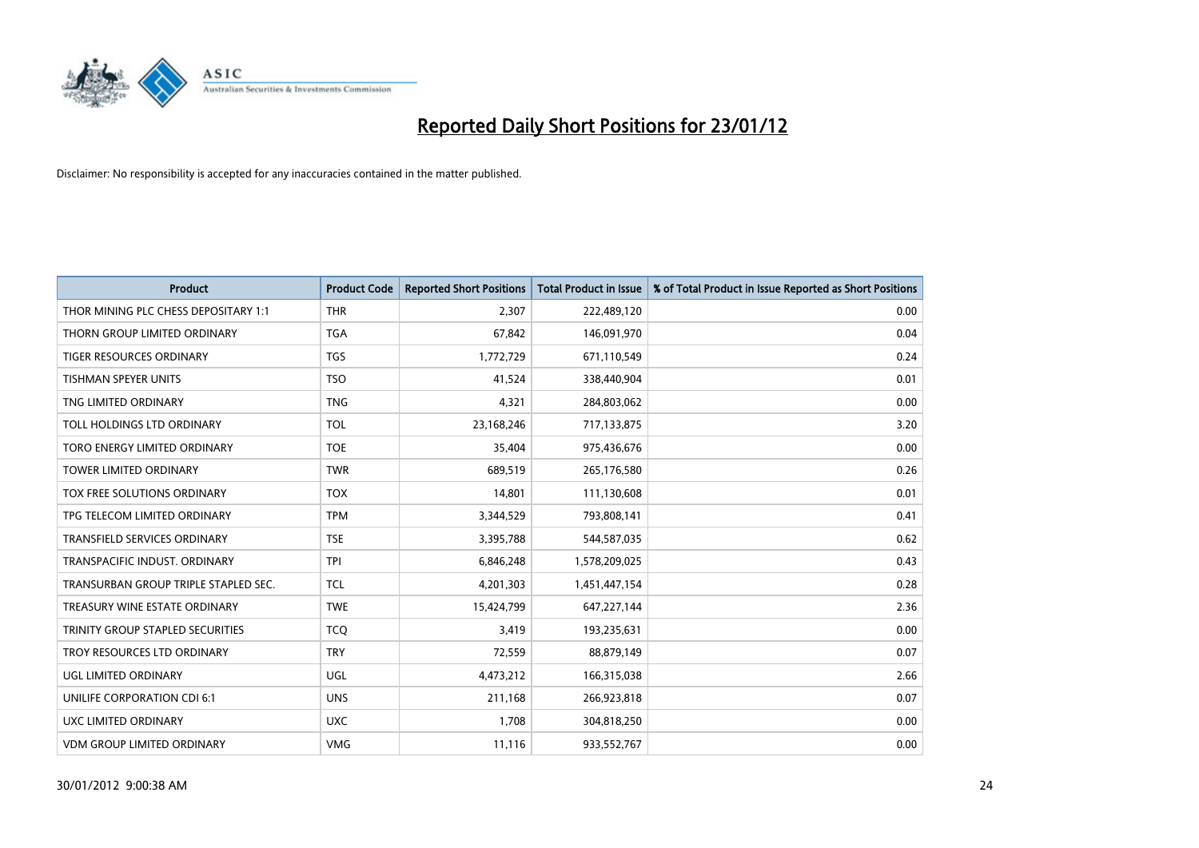

| <b>Product</b>                       | <b>Product Code</b> | <b>Reported Short Positions</b> | <b>Total Product in Issue</b> | % of Total Product in Issue Reported as Short Positions |
|--------------------------------------|---------------------|---------------------------------|-------------------------------|---------------------------------------------------------|
| THOR MINING PLC CHESS DEPOSITARY 1:1 | <b>THR</b>          | 2,307                           | 222,489,120                   | 0.00                                                    |
| THORN GROUP LIMITED ORDINARY         | <b>TGA</b>          | 67,842                          | 146,091,970                   | 0.04                                                    |
| <b>TIGER RESOURCES ORDINARY</b>      | <b>TGS</b>          | 1,772,729                       | 671,110,549                   | 0.24                                                    |
| TISHMAN SPEYER UNITS                 | <b>TSO</b>          | 41,524                          | 338,440,904                   | 0.01                                                    |
| TNG LIMITED ORDINARY                 | <b>TNG</b>          | 4,321                           | 284,803,062                   | 0.00                                                    |
| TOLL HOLDINGS LTD ORDINARY           | <b>TOL</b>          | 23,168,246                      | 717,133,875                   | 3.20                                                    |
| TORO ENERGY LIMITED ORDINARY         | <b>TOE</b>          | 35,404                          | 975,436,676                   | 0.00                                                    |
| TOWER LIMITED ORDINARY               | <b>TWR</b>          | 689,519                         | 265,176,580                   | 0.26                                                    |
| TOX FREE SOLUTIONS ORDINARY          | <b>TOX</b>          | 14,801                          | 111,130,608                   | 0.01                                                    |
| TPG TELECOM LIMITED ORDINARY         | <b>TPM</b>          | 3,344,529                       | 793,808,141                   | 0.41                                                    |
| TRANSFIELD SERVICES ORDINARY         | <b>TSE</b>          | 3,395,788                       | 544,587,035                   | 0.62                                                    |
| TRANSPACIFIC INDUST, ORDINARY        | <b>TPI</b>          | 6,846,248                       | 1,578,209,025                 | 0.43                                                    |
| TRANSURBAN GROUP TRIPLE STAPLED SEC. | <b>TCL</b>          | 4,201,303                       | 1,451,447,154                 | 0.28                                                    |
| TREASURY WINE ESTATE ORDINARY        | <b>TWE</b>          | 15,424,799                      | 647,227,144                   | 2.36                                                    |
| TRINITY GROUP STAPLED SECURITIES     | <b>TCO</b>          | 3,419                           | 193,235,631                   | 0.00                                                    |
| TROY RESOURCES LTD ORDINARY          | <b>TRY</b>          | 72,559                          | 88,879,149                    | 0.07                                                    |
| UGL LIMITED ORDINARY                 | UGL                 | 4,473,212                       | 166,315,038                   | 2.66                                                    |
| UNILIFE CORPORATION CDI 6:1          | <b>UNS</b>          | 211,168                         | 266,923,818                   | 0.07                                                    |
| <b>UXC LIMITED ORDINARY</b>          | <b>UXC</b>          | 1,708                           | 304,818,250                   | 0.00                                                    |
| <b>VDM GROUP LIMITED ORDINARY</b>    | <b>VMG</b>          | 11,116                          | 933,552,767                   | 0.00                                                    |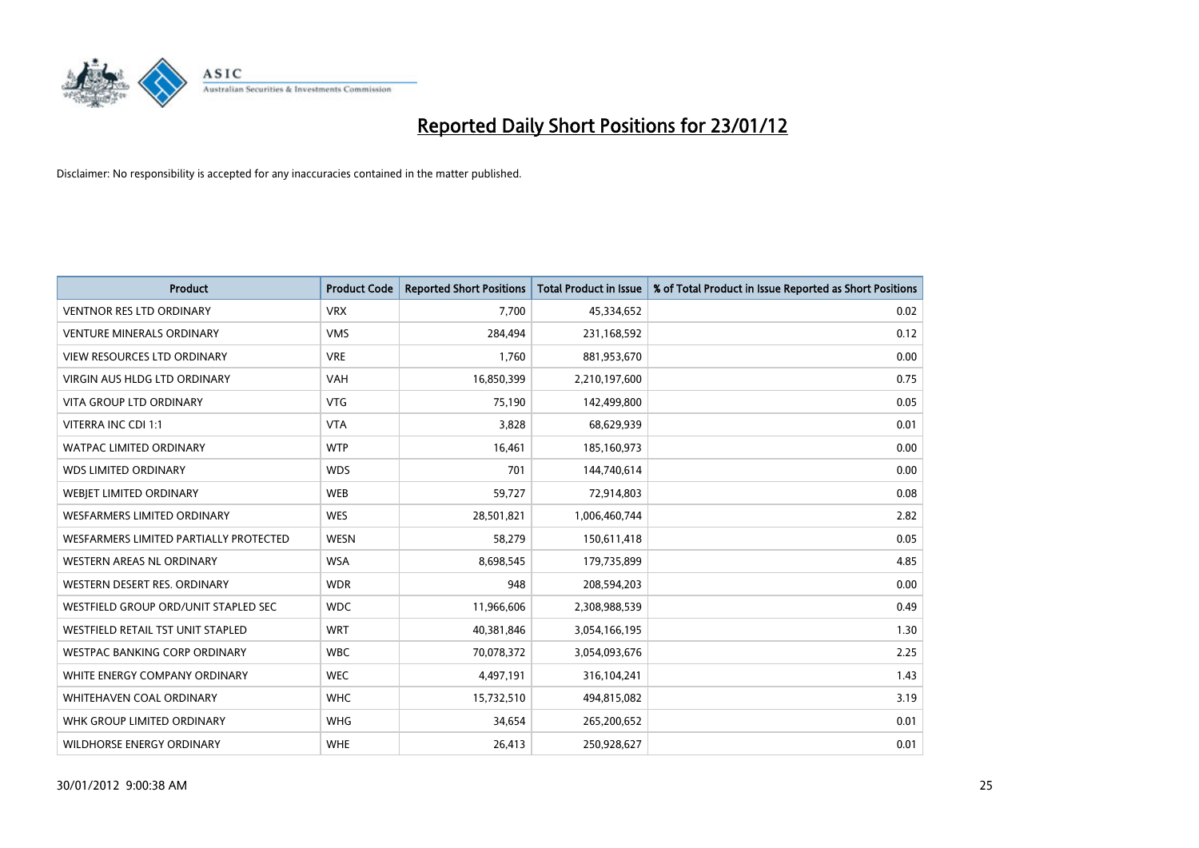

| <b>Product</b>                         | <b>Product Code</b> | <b>Reported Short Positions</b> | <b>Total Product in Issue</b> | % of Total Product in Issue Reported as Short Positions |
|----------------------------------------|---------------------|---------------------------------|-------------------------------|---------------------------------------------------------|
| <b>VENTNOR RES LTD ORDINARY</b>        | <b>VRX</b>          | 7,700                           | 45,334,652                    | 0.02                                                    |
| <b>VENTURE MINERALS ORDINARY</b>       | <b>VMS</b>          | 284,494                         | 231,168,592                   | 0.12                                                    |
| <b>VIEW RESOURCES LTD ORDINARY</b>     | <b>VRE</b>          | 1,760                           | 881,953,670                   | 0.00                                                    |
| VIRGIN AUS HLDG LTD ORDINARY           | <b>VAH</b>          | 16,850,399                      | 2,210,197,600                 | 0.75                                                    |
| <b>VITA GROUP LTD ORDINARY</b>         | <b>VTG</b>          | 75,190                          | 142,499,800                   | 0.05                                                    |
| VITERRA INC CDI 1:1                    | <b>VTA</b>          | 3,828                           | 68,629,939                    | 0.01                                                    |
| <b>WATPAC LIMITED ORDINARY</b>         | <b>WTP</b>          | 16,461                          | 185,160,973                   | 0.00                                                    |
| <b>WDS LIMITED ORDINARY</b>            | <b>WDS</b>          | 701                             | 144,740,614                   | 0.00                                                    |
| WEBIET LIMITED ORDINARY                | <b>WEB</b>          | 59,727                          | 72,914,803                    | 0.08                                                    |
| WESFARMERS LIMITED ORDINARY            | <b>WES</b>          | 28,501,821                      | 1,006,460,744                 | 2.82                                                    |
| WESFARMERS LIMITED PARTIALLY PROTECTED | <b>WESN</b>         | 58,279                          | 150,611,418                   | 0.05                                                    |
| WESTERN AREAS NL ORDINARY              | <b>WSA</b>          | 8,698,545                       | 179,735,899                   | 4.85                                                    |
| WESTERN DESERT RES. ORDINARY           | <b>WDR</b>          | 948                             | 208,594,203                   | 0.00                                                    |
| WESTFIELD GROUP ORD/UNIT STAPLED SEC   | <b>WDC</b>          | 11,966,606                      | 2,308,988,539                 | 0.49                                                    |
| WESTFIELD RETAIL TST UNIT STAPLED      | <b>WRT</b>          | 40,381,846                      | 3,054,166,195                 | 1.30                                                    |
| <b>WESTPAC BANKING CORP ORDINARY</b>   | <b>WBC</b>          | 70,078,372                      | 3,054,093,676                 | 2.25                                                    |
| WHITE ENERGY COMPANY ORDINARY          | <b>WEC</b>          | 4,497,191                       | 316,104,241                   | 1.43                                                    |
| <b>WHITEHAVEN COAL ORDINARY</b>        | <b>WHC</b>          | 15,732,510                      | 494,815,082                   | 3.19                                                    |
| WHK GROUP LIMITED ORDINARY             | <b>WHG</b>          | 34,654                          | 265,200,652                   | 0.01                                                    |
| WILDHORSE ENERGY ORDINARY              | <b>WHE</b>          | 26,413                          | 250,928,627                   | 0.01                                                    |